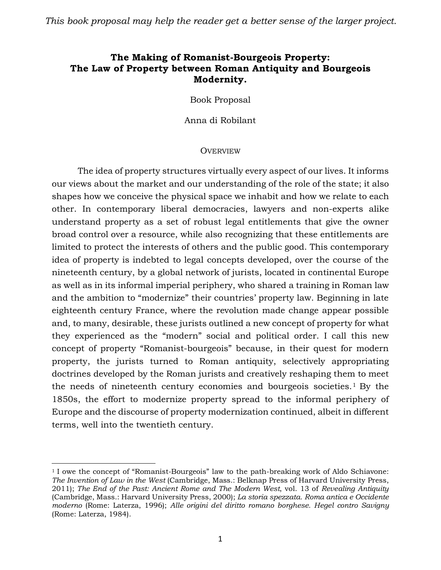# **The Making of Romanist-Bourgeois Property: The Law of Property between Roman Antiquity and Bourgeois Modernity.**

Book Proposal

Anna di Robilant

## **OVERVIEW**

The idea of property structures virtually every aspect of our lives. It informs our views about the market and our understanding of the role of the state; it also shapes how we conceive the physical space we inhabit and how we relate to each other. In contemporary liberal democracies, lawyers and non-experts alike understand property as a set of robust legal entitlements that give the owner broad control over a resource, while also recognizing that these entitlements are limited to protect the interests of others and the public good. This contemporary idea of property is indebted to legal concepts developed, over the course of the nineteenth century, by a global network of jurists, located in continental Europe as well as in its informal imperial periphery, who shared a training in Roman law and the ambition to "modernize" their countries' property law. Beginning in late eighteenth century France, where the revolution made change appear possible and, to many, desirable, these jurists outlined a new concept of property for what they experienced as the "modern" social and political order. I call this new concept of property "Romanist-bourgeois" because, in their quest for modern property, the jurists turned to Roman antiquity, selectively appropriating doctrines developed by the Roman jurists and creatively reshaping them to meet the needs of nineteenth century economies and bourgeois societies.<sup>1</sup> By the 1850s, the effort to modernize property spread to the informal periphery of Europe and the discourse of property modernization continued, albeit in different terms, well into the twentieth century.

<sup>&</sup>lt;sup>1</sup> I owe the concept of "Romanist-Bourgeois" law to the path-breaking work of Aldo Schiavone: *The Invention of Law in the West* (Cambridge, Mass.: Belknap Press of Harvard University Press, 2011); *The End of the Past: Ancient Rome and The Modern West*, vol. 13 of *Revealing Antiquity* (Cambridge, Mass.: Harvard University Press, 2000); *La storia spezzata. Roma antica e Occidente moderno* (Rome: Laterza, 1996); *Alle origini del diritto romano borghese. Hegel contro Savigny* (Rome: Laterza, 1984).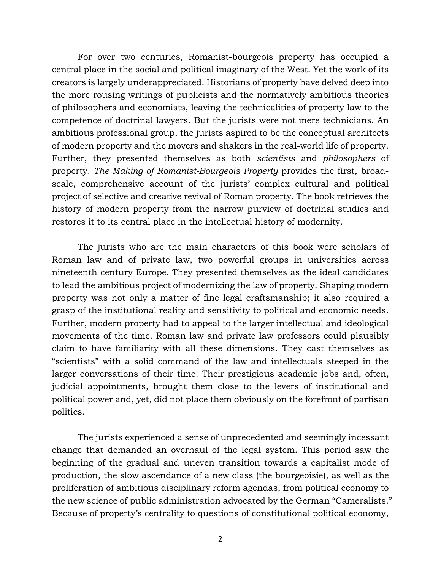For over two centuries, Romanist-bourgeois property has occupied a central place in the social and political imaginary of the West. Yet the work of its creators is largely underappreciated. Historians of property have delved deep into the more rousing writings of publicists and the normatively ambitious theories of philosophers and economists, leaving the technicalities of property law to the competence of doctrinal lawyers. But the jurists were not mere technicians. An ambitious professional group, the jurists aspired to be the conceptual architects of modern property and the movers and shakers in the real-world life of property. Further, they presented themselves as both *scientists* and *philosophers* of property. *The Making of Romanist-Bourgeois Property* provides the first, broadscale, comprehensive account of the jurists' complex cultural and political project of selective and creative revival of Roman property. The book retrieves the history of modern property from the narrow purview of doctrinal studies and restores it to its central place in the intellectual history of modernity.

The jurists who are the main characters of this book were scholars of Roman law and of private law, two powerful groups in universities across nineteenth century Europe. They presented themselves as the ideal candidates to lead the ambitious project of modernizing the law of property. Shaping modern property was not only a matter of fine legal craftsmanship; it also required a grasp of the institutional reality and sensitivity to political and economic needs. Further, modern property had to appeal to the larger intellectual and ideological movements of the time. Roman law and private law professors could plausibly claim to have familiarity with all these dimensions. They cast themselves as "scientists" with a solid command of the law and intellectuals steeped in the larger conversations of their time. Their prestigious academic jobs and, often, judicial appointments, brought them close to the levers of institutional and political power and, yet, did not place them obviously on the forefront of partisan politics.

The jurists experienced a sense of unprecedented and seemingly incessant change that demanded an overhaul of the legal system. This period saw the beginning of the gradual and uneven transition towards a capitalist mode of production, the slow ascendance of a new class (the bourgeoisie), as well as the proliferation of ambitious disciplinary reform agendas, from political economy to the new science of public administration advocated by the German "Cameralists." Because of property's centrality to questions of constitutional political economy,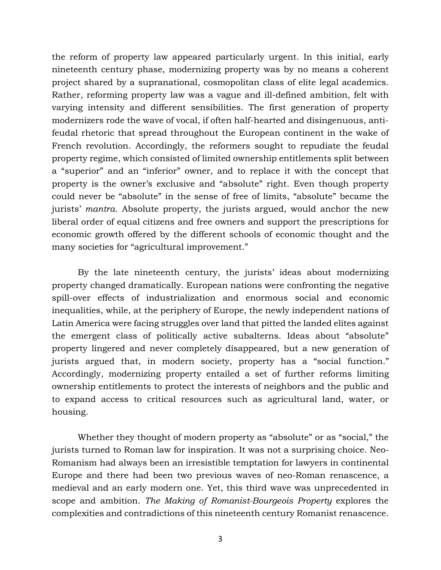the reform of property law appeared particularly urgent. In this initial, early nineteenth century phase, modernizing property was by no means a coherent project shared by a supranational, cosmopolitan class of elite legal academics. Rather, reforming property law was a vague and ill-defined ambition, felt with varying intensity and different sensibilities. The first generation of property modernizers rode the wave of vocal, if often half-hearted and disingenuous, antifeudal rhetoric that spread throughout the European continent in the wake of French revolution. Accordingly, the reformers sought to repudiate the feudal property regime, which consisted of limited ownership entitlements split between a "superior" and an "inferior" owner, and to replace it with the concept that property is the owner's exclusive and "absolute" right. Even though property could never be "absolute" in the sense of free of limits, "absolute" became the jurists' *mantra*. Absolute property, the jurists argued, would anchor the new liberal order of equal citizens and free owners and support the prescriptions for economic growth offered by the different schools of economic thought and the many societies for "agricultural improvement."

By the late nineteenth century, the jurists' ideas about modernizing property changed dramatically. European nations were confronting the negative spill-over effects of industrialization and enormous social and economic inequalities, while, at the periphery of Europe, the newly independent nations of Latin America were facing struggles over land that pitted the landed elites against the emergent class of politically active subalterns. Ideas about "absolute" property lingered and never completely disappeared, but a new generation of jurists argued that, in modern society, property has a "social function." Accordingly, modernizing property entailed a set of further reforms limiting ownership entitlements to protect the interests of neighbors and the public and to expand access to critical resources such as agricultural land, water, or housing.

Whether they thought of modern property as "absolute" or as "social," the jurists turned to Roman law for inspiration. It was not a surprising choice. Neo-Romanism had always been an irresistible temptation for lawyers in continental Europe and there had been two previous waves of neo-Roman renascence, a medieval and an early modern one. Yet, this third wave was unprecedented in scope and ambition. *The Making of Romanist-Bourgeois Property* explores the complexities and contradictions of this nineteenth century Romanist renascence.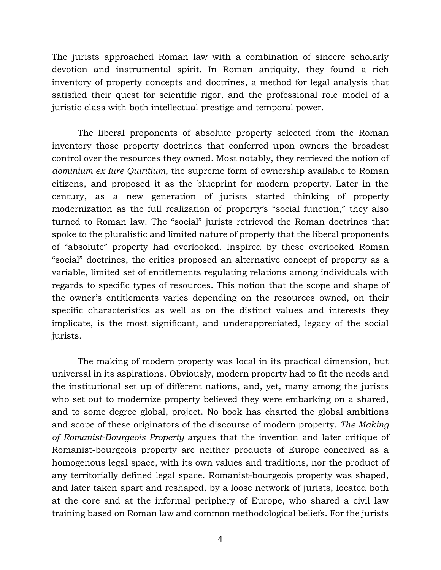The jurists approached Roman law with a combination of sincere scholarly devotion and instrumental spirit. In Roman antiquity, they found a rich inventory of property concepts and doctrines, a method for legal analysis that satisfied their quest for scientific rigor, and the professional role model of a juristic class with both intellectual prestige and temporal power.

The liberal proponents of absolute property selected from the Roman inventory those property doctrines that conferred upon owners the broadest control over the resources they owned. Most notably, they retrieved the notion of *dominium ex Iure Quiritium*, the supreme form of ownership available to Roman citizens, and proposed it as the blueprint for modern property. Later in the century, as a new generation of jurists started thinking of property modernization as the full realization of property's "social function," they also turned to Roman law. The "social" jurists retrieved the Roman doctrines that spoke to the pluralistic and limited nature of property that the liberal proponents of "absolute" property had overlooked. Inspired by these overlooked Roman "social" doctrines, the critics proposed an alternative concept of property as a variable, limited set of entitlements regulating relations among individuals with regards to specific types of resources. This notion that the scope and shape of the owner's entitlements varies depending on the resources owned, on their specific characteristics as well as on the distinct values and interests they implicate, is the most significant, and underappreciated, legacy of the social jurists.

The making of modern property was local in its practical dimension, but universal in its aspirations. Obviously, modern property had to fit the needs and the institutional set up of different nations, and, yet, many among the jurists who set out to modernize property believed they were embarking on a shared, and to some degree global, project. No book has charted the global ambitions and scope of these originators of the discourse of modern property. *The Making of Romanist-Bourgeois Property* argues that the invention and later critique of Romanist-bourgeois property are neither products of Europe conceived as a homogenous legal space, with its own values and traditions, nor the product of any territorially defined legal space. Romanist-bourgeois property was shaped, and later taken apart and reshaped, by a loose network of jurists, located both at the core and at the informal periphery of Europe, who shared a civil law training based on Roman law and common methodological beliefs. For the jurists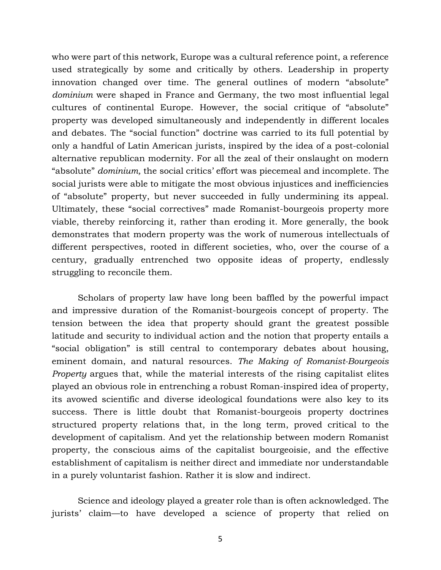who were part of this network, Europe was a cultural reference point, a reference used strategically by some and critically by others. Leadership in property innovation changed over time. The general outlines of modern "absolute" *dominium* were shaped in France and Germany, the two most influential legal cultures of continental Europe. However, the social critique of "absolute" property was developed simultaneously and independently in different locales and debates. The "social function" doctrine was carried to its full potential by only a handful of Latin American jurists, inspired by the idea of a post-colonial alternative republican modernity. For all the zeal of their onslaught on modern "absolute" *dominium,* the social critics' effort was piecemeal and incomplete. The social jurists were able to mitigate the most obvious injustices and inefficiencies of "absolute" property, but never succeeded in fully undermining its appeal. Ultimately, these "social correctives" made Romanist-bourgeois property more viable, thereby reinforcing it, rather than eroding it. More generally, the book demonstrates that modern property was the work of numerous intellectuals of different perspectives, rooted in different societies, who, over the course of a century, gradually entrenched two opposite ideas of property, endlessly struggling to reconcile them.

Scholars of property law have long been baffled by the powerful impact and impressive duration of the Romanist-bourgeois concept of property. The tension between the idea that property should grant the greatest possible latitude and security to individual action and the notion that property entails a "social obligation" is still central to contemporary debates about housing, eminent domain, and natural resources. *The Making of Romanist-Bourgeois Property* argues that, while the material interests of the rising capitalist elites played an obvious role in entrenching a robust Roman-inspired idea of property, its avowed scientific and diverse ideological foundations were also key to its success. There is little doubt that Romanist-bourgeois property doctrines structured property relations that, in the long term, proved critical to the development of capitalism. And yet the relationship between modern Romanist property, the conscious aims of the capitalist bourgeoisie, and the effective establishment of capitalism is neither direct and immediate nor understandable in a purely voluntarist fashion. Rather it is slow and indirect.

Science and ideology played a greater role than is often acknowledged. The jurists' claim—to have developed a science of property that relied on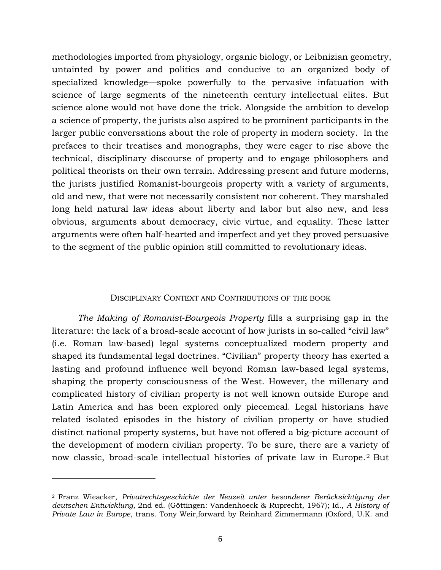methodologies imported from physiology, organic biology, or Leibnizian geometry, untainted by power and politics and conducive to an organized body of specialized knowledge—spoke powerfully to the pervasive infatuation with science of large segments of the nineteenth century intellectual elites. But science alone would not have done the trick. Alongside the ambition to develop a science of property, the jurists also aspired to be prominent participants in the larger public conversations about the role of property in modern society. In the prefaces to their treatises and monographs, they were eager to rise above the technical, disciplinary discourse of property and to engage philosophers and political theorists on their own terrain. Addressing present and future moderns, the jurists justified Romanist-bourgeois property with a variety of arguments, old and new, that were not necessarily consistent nor coherent. They marshaled long held natural law ideas about liberty and labor but also new, and less obvious, arguments about democracy, civic virtue, and equality. These latter arguments were often half-hearted and imperfect and yet they proved persuasive to the segment of the public opinion still committed to revolutionary ideas.

#### DISCIPLINARY CONTEXT AND CONTRIBUTIONS OF THE BOOK

*The Making of Romanist-Bourgeois Property* fills a surprising gap in the literature: the lack of a broad-scale account of how jurists in so-called "civil law" (i.e. Roman law-based) legal systems conceptualized modern property and shaped its fundamental legal doctrines. "Civilian" property theory has exerted a lasting and profound influence well beyond Roman law-based legal systems, shaping the property consciousness of the West. However, the millenary and complicated history of civilian property is not well known outside Europe and Latin America and has been explored only piecemeal. Legal historians have related isolated episodes in the history of civilian property or have studied distinct national property systems, but have not offered a big-picture account of the development of modern civilian property. To be sure, there are a variety of now classic, broad-scale intellectual histories of private law in Europe.2 But

<sup>2</sup> Franz Wieacker, *Privatrechtsgeschichte der Neuzeit unter besonderer Berücksichtigung der deutschen Entwicklung*, 2nd ed. (Göttingen: Vandenhoeck & Ruprecht, 1967); Id., *A History of Private Law in Europe*, trans. Tony Weir,forward by Reinhard Zimmermann (Oxford, U.K. and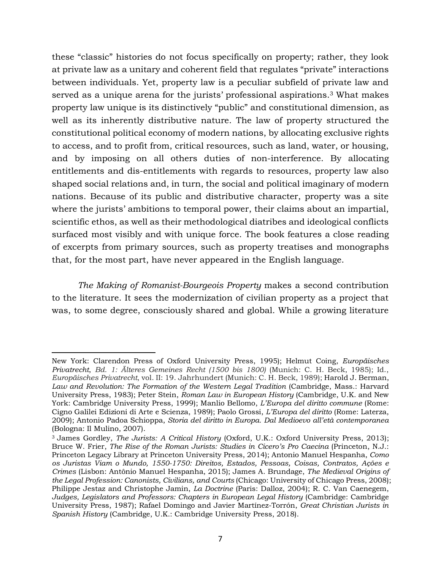these "classic" histories do not focus specifically on property; rather, they look at private law as a unitary and coherent field that regulates "private" interactions between individuals. Yet, property law is a peculiar subfield of private law and served as a unique arena for the jurists' professional aspirations.3 What makes property law unique is its distinctively "public" and constitutional dimension, as well as its inherently distributive nature. The law of property structured the constitutional political economy of modern nations, by allocating exclusive rights to access, and to profit from, critical resources, such as land, water, or housing, and by imposing on all others duties of non-interference. By allocating entitlements and dis-entitlements with regards to resources, property law also shaped social relations and, in turn, the social and political imaginary of modern nations. Because of its public and distributive character, property was a site where the jurists' ambitions to temporal power, their claims about an impartial, scientific ethos, as well as their methodological diatribes and ideological conflicts surfaced most visibly and with unique force. The book features a close reading of excerpts from primary sources, such as property treatises and monographs that, for the most part, have never appeared in the English language.

*The Making of Romanist-Bourgeois Property* makes a second contribution to the literature. It sees the modernization of civilian property as a project that was, to some degree, consciously shared and global. While a growing literature

New York: Clarendon Press of Oxford University Press, 1995); Helmut Coing, *Europäisches Privatrecht*, *Bd. 1: Älteres Gemeines Recht (1500 bis 1800)* (Munich: C. H. Beck, 1985); Id., *Europäisches Privatrecht*, vol. II: 19. Jahrhundert (Munich: C. H. Beck, 1989); Harold J. Berman, *Law and Revolution: The Formation of the Western Legal Tradition* (Cambridge, Mass.: Harvard University Press, 1983); Peter Stein, *Roman Law in European History* (Cambridge, U.K. and New York: Cambridge University Press, 1999); Manlio Bellomo, *L'Europa del diritto commune* (Rome: Cigno Galilei Edizioni di Arte e Scienza, 1989); Paolo Grossi, *L'Europa del diritto* (Rome: Laterza, 2009); Antonio Padoa Schioppa, *Storia del diritto in Europa. Dal Medioevo all'età contemporanea* (Bologna: Il Mulino, 2007).

<sup>3</sup> James Gordley, *The Jurists: A Critical History* (Oxford, U.K.: Oxford University Press, 2013); Bruce W. Frier, *The Rise of the Roman Jurists: Studies in Cicero's Pro Caecina* (Princeton, N.J.: Princeton Legacy Library at Princeton University Press, 2014); Antonio Manuel Hespanha, *Como os Juristas Viam o Mundo, 1550-1750: Direitos, Estados, Pessoas, Coisas, Contratos, Ações e Crimes* (Lisbon: Antônio Manuel Hespanha, 2015); James A. Brundage, *The Medieval Origins of the Legal Profession: Canonists, Civilians, and Courts* (Chicago: University of Chicago Press, 2008); Philippe Jestaz and Christophe Jamin, *La Doctrine* (Paris: Dalloz, 2004); R. C. Van Caenegem, *Judges, Legislators and Professors: Chapters in European Legal History* (Cambridge: Cambridge University Press, 1987); Rafael Domingo and Javier Martínez-Torrón, *Great Christian Jurists in Spanish History* (Cambridge, U.K.: Cambridge University Press, 2018).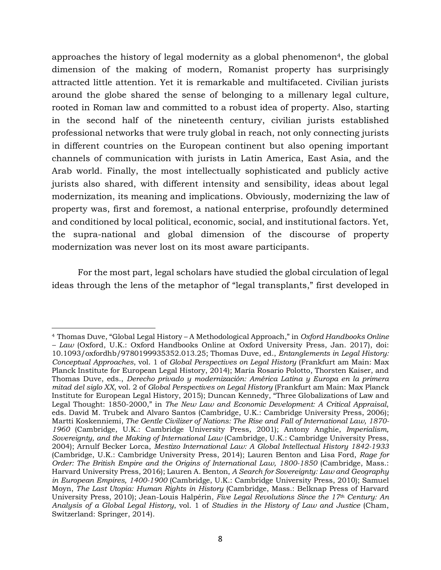approaches the history of legal modernity as a global phenomenon<sup>4</sup>, the global dimension of the making of modern, Romanist property has surprisingly attracted little attention. Yet it is remarkable and multifaceted. Civilian jurists around the globe shared the sense of belonging to a millenary legal culture, rooted in Roman law and committed to a robust idea of property. Also, starting in the second half of the nineteenth century, civilian jurists established professional networks that were truly global in reach, not only connecting jurists in different countries on the European continent but also opening important channels of communication with jurists in Latin America, East Asia, and the Arab world. Finally, the most intellectually sophisticated and publicly active jurists also shared, with different intensity and sensibility, ideas about legal modernization, its meaning and implications. Obviously, modernizing the law of property was, first and foremost, a national enterprise, profoundly determined and conditioned by local political, economic, social, and institutional factors. Yet, the supra-national and global dimension of the discourse of property modernization was never lost on its most aware participants.

For the most part, legal scholars have studied the global circulation of legal ideas through the lens of the metaphor of "legal transplants," first developed in

<sup>4</sup> Thomas Duve, "Global Legal History – A Methodological Approach," in *Oxford Handbooks Online – Law* (Oxford, U.K.: Oxford Handbooks Online at Oxford University Press, Jan. 2017), doi: 10.1093/oxfordhb/9780199935352.013.25; Thomas Duve, ed., *Entanglements in Legal History: Conceptual Approaches*, vol. 1 of *Global Perspectives on Legal History* (Frankfurt am Main: Max Planck Institute for European Legal History, 2014); María Rosario Polotto, Thorsten Kaiser, and Thomas Duve, eds., *Derecho privado y modernización: América Latina y Europa en la primera mitad del siglo XX*, vol. 2 of *Global Perspectives on Legal History* (Frankfurt am Main: Max Planck Institute for European Legal History, 2015); Duncan Kennedy, "Three Globalizations of Law and Legal Thought: 1850-2000," in *The New Law and Economic Development: A Critical Appraisal*, eds. David M. Trubek and Alvaro Santos (Cambridge, U.K.: Cambridge University Press, 2006); Martti Koskenniemi, *The Gentle Civilizer of Nations: The Rise and Fall of International Law, 1870- 1960* (Cambridge, U.K.: Cambridge University Press, 2001); Antony Anghie, *Imperialism, Sovereignty, and the Making of International Law* (Cambridge, U.K.: Cambridge University Press, 2004); Arnulf Becker Lorca, *Mestizo International Law: A Global Intellectual History 1842-1933* (Cambridge, U.K.: Cambridge University Press, 2014); Lauren Benton and Lisa Ford, *Rage for Order: The British Empire and the Origins of International Law, 1800-1850* (Cambridge, Mass.: Harvard University Press, 2016); Lauren A. Benton, *A Search for Sovereignty: Law and Geography in European Empires, 1400-1900* (Cambridge, U.K.: Cambridge University Press, 2010); Samuel Moyn, *The Last Utopia: Human Rights in History* (Cambridge, Mass.: Belknap Press of Harvard University Press, 2010); Jean-Louis Halpérin, *Five Legal Revolutions Since the 17th Century: An Analysis of a Global Legal History*, vol. 1 of *Studies in the History of Law and Justice* (Cham, Switzerland: Springer, 2014).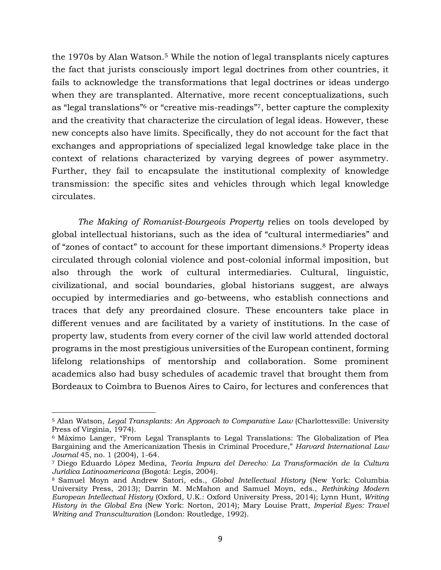the 1970s by Alan Watson.5 While the notion of legal transplants nicely captures the fact that jurists consciously import legal doctrines from other countries, it fails to acknowledge the transformations that legal doctrines or ideas undergo when they are transplanted. Alternative, more recent conceptualizations, such as "legal translations"6 or "creative mis-readings"7, better capture the complexity and the creativity that characterize the circulation of legal ideas. However, these new concepts also have limits. Specifically, they do not account for the fact that exchanges and appropriations of specialized legal knowledge take place in the context of relations characterized by varying degrees of power asymmetry. Further, they fail to encapsulate the institutional complexity of knowledge transmission: the specific sites and vehicles through which legal knowledge circulates.

*The Making of Romanist-Bourgeois Property* relies on tools developed by global intellectual historians, such as the idea of "cultural intermediaries" and of "zones of contact" to account for these important dimensions.8 Property ideas circulated through colonial violence and post-colonial informal imposition, but also through the work of cultural intermediaries. Cultural, linguistic, civilizational, and social boundaries, global historians suggest, are always occupied by intermediaries and go-betweens, who establish connections and traces that defy any preordained closure. These encounters take place in different venues and are facilitated by a variety of institutions. In the case of property law, students from every corner of the civil law world attended doctoral programs in the most prestigious universities of the European continent, forming lifelong relationships of mentorship and collaboration. Some prominent academics also had busy schedules of academic travel that brought them from Bordeaux to Coimbra to Buenos Aires to Cairo, for lectures and conferences that

<sup>5</sup> Alan Watson, *Legal Transplants: An Approach to Comparative Law* (Charlottesville: University Press of Virginia, 1974).

<sup>6</sup> Máximo Langer, "From Legal Transplants to Legal Translations: The Globalization of Plea Bargaining and the Americanization Thesis in Criminal Procedure," *Harvard International Law Journal* 45, no. 1 (2004), 1-64.

<sup>7</sup> Diego Eduardo López Medina, *Teoría Impura del Derecho: La Transformación de la Cultura Jurídica Latinoamericana* (Bogotá: Legis, 2004).

<sup>8</sup> Samuel Moyn and Andrew Satori, eds., *Global Intellectual History* (New York: Columbia University Press, 2013); Darrin M. McMahon and Samuel Moyn, eds., *Rethinking Modern European Intellectual History* (Oxford, U.K.: Oxford University Press, 2014); Lynn Hunt, *Writing History in the Global Era* (New York: Norton, 2014); Mary Louise Pratt, *Imperial Eyes: Travel Writing and Transculturation* (London: Routledge, 1992).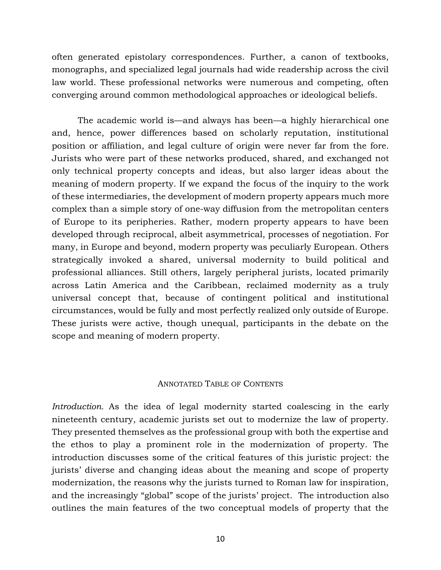often generated epistolary correspondences. Further, a canon of textbooks, monographs, and specialized legal journals had wide readership across the civil law world. These professional networks were numerous and competing, often converging around common methodological approaches or ideological beliefs.

The academic world is—and always has been—a highly hierarchical one and, hence, power differences based on scholarly reputation, institutional position or affiliation, and legal culture of origin were never far from the fore. Jurists who were part of these networks produced, shared, and exchanged not only technical property concepts and ideas, but also larger ideas about the meaning of modern property. If we expand the focus of the inquiry to the work of these intermediaries, the development of modern property appears much more complex than a simple story of one-way diffusion from the metropolitan centers of Europe to its peripheries. Rather, modern property appears to have been developed through reciprocal, albeit asymmetrical, processes of negotiation. For many, in Europe and beyond, modern property was peculiarly European. Others strategically invoked a shared, universal modernity to build political and professional alliances. Still others, largely peripheral jurists, located primarily across Latin America and the Caribbean, reclaimed modernity as a truly universal concept that, because of contingent political and institutional circumstances, would be fully and most perfectly realized only outside of Europe. These jurists were active, though unequal, participants in the debate on the scope and meaning of modern property.

## ANNOTATED TABLE OF CONTENTS

*Introduction.* As the idea of legal modernity started coalescing in the early nineteenth century, academic jurists set out to modernize the law of property. They presented themselves as the professional group with both the expertise and the ethos to play a prominent role in the modernization of property. The introduction discusses some of the critical features of this juristic project: the jurists' diverse and changing ideas about the meaning and scope of property modernization, the reasons why the jurists turned to Roman law for inspiration, and the increasingly "global" scope of the jurists' project. The introduction also outlines the main features of the two conceptual models of property that the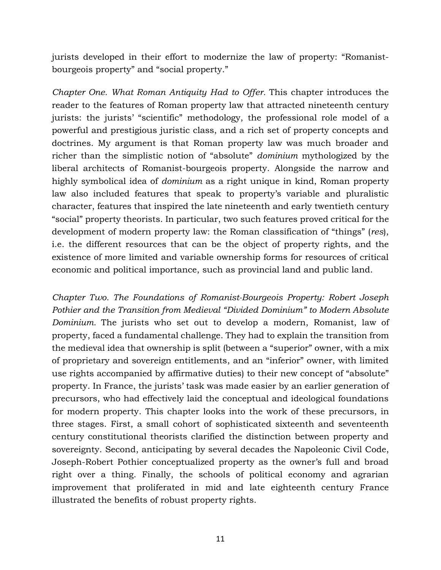jurists developed in their effort to modernize the law of property: "Romanistbourgeois property" and "social property."

*Chapter One. What Roman Antiquity Had to Offer.* This chapter introduces the reader to the features of Roman property law that attracted nineteenth century jurists: the jurists' "scientific" methodology, the professional role model of a powerful and prestigious juristic class, and a rich set of property concepts and doctrines. My argument is that Roman property law was much broader and richer than the simplistic notion of "absolute" *dominium* mythologized by the liberal architects of Romanist-bourgeois property. Alongside the narrow and highly symbolical idea of *dominium* as a right unique in kind, Roman property law also included features that speak to property's variable and pluralistic character, features that inspired the late nineteenth and early twentieth century "social" property theorists. In particular, two such features proved critical for the development of modern property law: the Roman classification of "things" (*res*), i.e. the different resources that can be the object of property rights, and the existence of more limited and variable ownership forms for resources of critical economic and political importance, such as provincial land and public land.

*Chapter Two. The Foundations of Romanist-Bourgeois Property: Robert Joseph Pothier and the Transition from Medieval "Divided Dominium" to Modern Absolute Dominium.* The jurists who set out to develop a modern, Romanist, law of property, faced a fundamental challenge. They had to explain the transition from the medieval idea that ownership is split (between a "superior" owner, with a mix of proprietary and sovereign entitlements, and an "inferior" owner, with limited use rights accompanied by affirmative duties) to their new concept of "absolute" property. In France, the jurists' task was made easier by an earlier generation of precursors, who had effectively laid the conceptual and ideological foundations for modern property. This chapter looks into the work of these precursors, in three stages. First, a small cohort of sophisticated sixteenth and seventeenth century constitutional theorists clarified the distinction between property and sovereignty. Second, anticipating by several decades the Napoleonic Civil Code, Joseph-Robert Pothier conceptualized property as the owner's full and broad right over a thing. Finally, the schools of political economy and agrarian improvement that proliferated in mid and late eighteenth century France illustrated the benefits of robust property rights.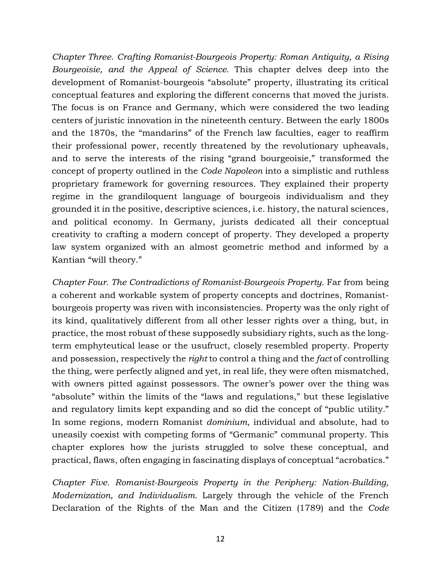*Chapter Three. Crafting Romanist-Bourgeois Property: Roman Antiquity, a Rising Bourgeoisie, and the Appeal of Science.* This chapter delves deep into the development of Romanist-bourgeois "absolute" property, illustrating its critical conceptual features and exploring the different concerns that moved the jurists. The focus is on France and Germany, which were considered the two leading centers of juristic innovation in the nineteenth century. Between the early 1800s and the 1870s, the "mandarins" of the French law faculties, eager to reaffirm their professional power, recently threatened by the revolutionary upheavals, and to serve the interests of the rising "grand bourgeoisie," transformed the concept of property outlined in the *Code Napoleon* into a simplistic and ruthless proprietary framework for governing resources. They explained their property regime in the grandiloquent language of bourgeois individualism and they grounded it in the positive, descriptive sciences, i.e. history, the natural sciences, and political economy. In Germany, jurists dedicated all their conceptual creativity to crafting a modern concept of property. They developed a property law system organized with an almost geometric method and informed by a Kantian "will theory."

*Chapter Four. The Contradictions of Romanist-Bourgeois Property.* Far from being a coherent and workable system of property concepts and doctrines, Romanistbourgeois property was riven with inconsistencies. Property was the only right of its kind, qualitatively different from all other lesser rights over a thing, but, in practice, the most robust of these supposedly subsidiary rights, such as the longterm emphyteutical lease or the usufruct, closely resembled property. Property and possession, respectively the *right* to control a thing and the *fact* of controlling the thing, were perfectly aligned and yet, in real life, they were often mismatched, with owners pitted against possessors. The owner's power over the thing was "absolute" within the limits of the "laws and regulations," but these legislative and regulatory limits kept expanding and so did the concept of "public utility." In some regions, modern Romanist *dominium*, individual and absolute, had to uneasily coexist with competing forms of "Germanic" communal property. This chapter explores how the jurists struggled to solve these conceptual, and practical, flaws, often engaging in fascinating displays of conceptual "acrobatics."

*Chapter Five. Romanist-Bourgeois Property in the Periphery: Nation-Building, Modernization, and Individualism.* Largely through the vehicle of the French Declaration of the Rights of the Man and the Citizen (1789) and the *Code*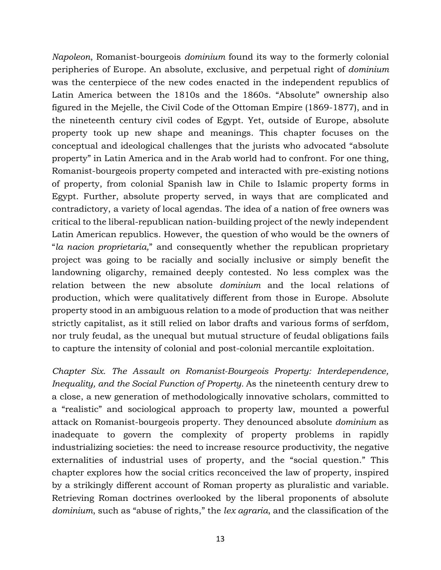*Napoleon*, Romanist-bourgeois *dominium* found its way to the formerly colonial peripheries of Europe. An absolute, exclusive, and perpetual right of *dominium* was the centerpiece of the new codes enacted in the independent republics of Latin America between the 1810s and the 1860s. "Absolute" ownership also figured in the Mejelle, the Civil Code of the Ottoman Empire (1869-1877), and in the nineteenth century civil codes of Egypt. Yet, outside of Europe, absolute property took up new shape and meanings. This chapter focuses on the conceptual and ideological challenges that the jurists who advocated "absolute property" in Latin America and in the Arab world had to confront. For one thing, Romanist-bourgeois property competed and interacted with pre-existing notions of property, from colonial Spanish law in Chile to Islamic property forms in Egypt. Further, absolute property served, in ways that are complicated and contradictory, a variety of local agendas. The idea of a nation of free owners was critical to the liberal-republican nation-building project of the newly independent Latin American republics. However, the question of who would be the owners of "*la nacion proprietaria,*" and consequently whether the republican proprietary project was going to be racially and socially inclusive or simply benefit the landowning oligarchy, remained deeply contested. No less complex was the relation between the new absolute *dominium* and the local relations of production, which were qualitatively different from those in Europe. Absolute property stood in an ambiguous relation to a mode of production that was neither strictly capitalist, as it still relied on labor drafts and various forms of serfdom, nor truly feudal, as the unequal but mutual structure of feudal obligations fails to capture the intensity of colonial and post-colonial mercantile exploitation.

*Chapter Six. The Assault on Romanist-Bourgeois Property: Interdependence, Inequality, and the Social Function of Property.* As the nineteenth century drew to a close, a new generation of methodologically innovative scholars, committed to a "realistic" and sociological approach to property law, mounted a powerful attack on Romanist-bourgeois property. They denounced absolute *dominium* as inadequate to govern the complexity of property problems in rapidly industrializing societies: the need to increase resource productivity, the negative externalities of industrial uses of property, and the "social question." This chapter explores how the social critics reconceived the law of property, inspired by a strikingly different account of Roman property as pluralistic and variable. Retrieving Roman doctrines overlooked by the liberal proponents of absolute *dominium*, such as "abuse of rights," the *lex agraria*, and the classification of the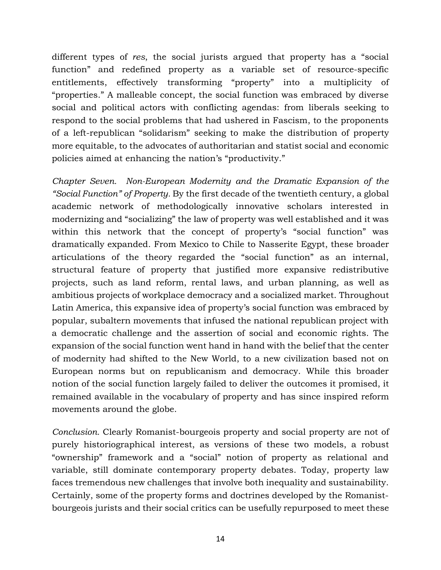different types of *res*, the social jurists argued that property has a "social function" and redefined property as a variable set of resource-specific entitlements, effectively transforming "property" into a multiplicity of "properties." A malleable concept, the social function was embraced by diverse social and political actors with conflicting agendas: from liberals seeking to respond to the social problems that had ushered in Fascism, to the proponents of a left-republican "solidarism" seeking to make the distribution of property more equitable, to the advocates of authoritarian and statist social and economic policies aimed at enhancing the nation's "productivity."

*Chapter Seven. Non-European Modernity and the Dramatic Expansion of the "Social Function" of Property.* By the first decade of the twentieth century, a global academic network of methodologically innovative scholars interested in modernizing and "socializing" the law of property was well established and it was within this network that the concept of property's "social function" was dramatically expanded. From Mexico to Chile to Nasserite Egypt, these broader articulations of the theory regarded the "social function" as an internal, structural feature of property that justified more expansive redistributive projects, such as land reform, rental laws, and urban planning, as well as ambitious projects of workplace democracy and a socialized market. Throughout Latin America, this expansive idea of property's social function was embraced by popular, subaltern movements that infused the national republican project with a democratic challenge and the assertion of social and economic rights. The expansion of the social function went hand in hand with the belief that the center of modernity had shifted to the New World, to a new civilization based not on European norms but on republicanism and democracy. While this broader notion of the social function largely failed to deliver the outcomes it promised, it remained available in the vocabulary of property and has since inspired reform movements around the globe.

*Conclusion.* Clearly Romanist-bourgeois property and social property are not of purely historiographical interest, as versions of these two models, a robust "ownership" framework and a "social" notion of property as relational and variable, still dominate contemporary property debates. Today, property law faces tremendous new challenges that involve both inequality and sustainability. Certainly, some of the property forms and doctrines developed by the Romanistbourgeois jurists and their social critics can be usefully repurposed to meet these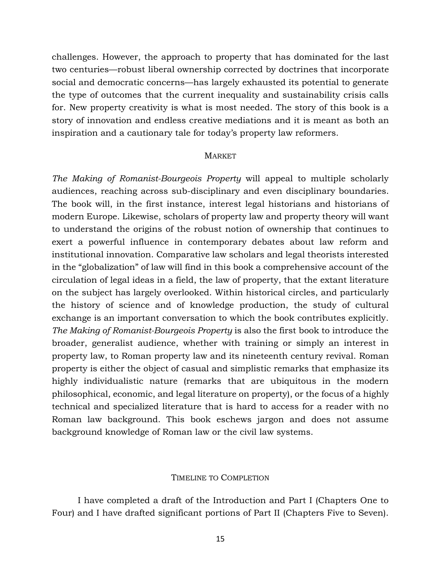challenges. However, the approach to property that has dominated for the last two centuries—robust liberal ownership corrected by doctrines that incorporate social and democratic concerns—has largely exhausted its potential to generate the type of outcomes that the current inequality and sustainability crisis calls for. New property creativity is what is most needed. The story of this book is a story of innovation and endless creative mediations and it is meant as both an inspiration and a cautionary tale for today's property law reformers.

#### **MARKET**

*The Making of Romanist-Bourgeois Property* will appeal to multiple scholarly audiences, reaching across sub-disciplinary and even disciplinary boundaries. The book will, in the first instance, interest legal historians and historians of modern Europe. Likewise, scholars of property law and property theory will want to understand the origins of the robust notion of ownership that continues to exert a powerful influence in contemporary debates about law reform and institutional innovation. Comparative law scholars and legal theorists interested in the "globalization" of law will find in this book a comprehensive account of the circulation of legal ideas in a field, the law of property, that the extant literature on the subject has largely overlooked. Within historical circles, and particularly the history of science and of knowledge production, the study of cultural exchange is an important conversation to which the book contributes explicitly. *The Making of Romanist-Bourgeois Property* is also the first book to introduce the broader, generalist audience, whether with training or simply an interest in property law, to Roman property law and its nineteenth century revival. Roman property is either the object of casual and simplistic remarks that emphasize its highly individualistic nature (remarks that are ubiquitous in the modern philosophical, economic, and legal literature on property), or the focus of a highly technical and specialized literature that is hard to access for a reader with no Roman law background. This book eschews jargon and does not assume background knowledge of Roman law or the civil law systems.

#### TIMELINE TO COMPLETION

I have completed a draft of the Introduction and Part I (Chapters One to Four) and I have drafted significant portions of Part II (Chapters Five to Seven).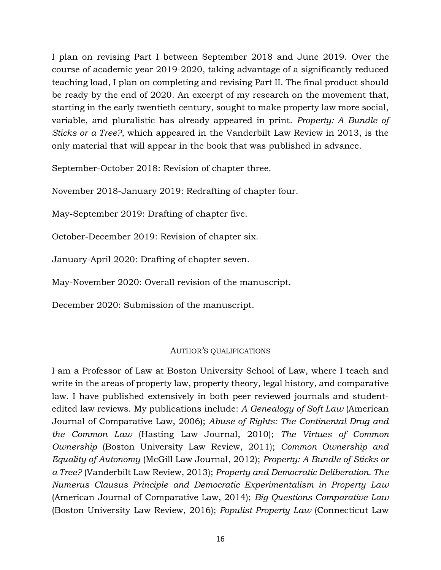I plan on revising Part I between September 2018 and June 2019. Over the course of academic year 2019-2020, taking advantage of a significantly reduced teaching load, I plan on completing and revising Part II. The final product should be ready by the end of 2020. An excerpt of my research on the movement that, starting in the early twentieth century, sought to make property law more social, variable, and pluralistic has already appeared in print. *Property: A Bundle of Sticks or a Tree?*, which appeared in the Vanderbilt Law Review in 2013, is the only material that will appear in the book that was published in advance.

September-October 2018: Revision of chapter three.

November 2018-January 2019: Redrafting of chapter four.

May-September 2019: Drafting of chapter five.

October-December 2019: Revision of chapter six.

January-April 2020: Drafting of chapter seven.

May-November 2020: Overall revision of the manuscript.

December 2020: Submission of the manuscript.

## AUTHOR'S QUALIFICATIONS

I am a Professor of Law at Boston University School of Law, where I teach and write in the areas of property law, property theory, legal history, and comparative law. I have published extensively in both peer reviewed journals and studentedited law reviews. My publications include: *A Genealogy of Soft Law* (American Journal of Comparative Law, 2006); *Abuse of Rights: The Continental Drug and the Common Law* (Hasting Law Journal, 2010); *The Virtues of Common Ownership* (Boston University Law Review, 2011); *Common Ownership and Equality of Autonomy* (McGill Law Journal, 2012); *Property: A Bundle of Sticks or a Tree?* (Vanderbilt Law Review, 2013); *Property and Democratic Deliberation. The Numerus Clausus Principle and Democratic Experimentalism in Property Law* (American Journal of Comparative Law, 2014); *Big Questions Comparative Law* (Boston University Law Review, 2016); *Populist Property Law* (Connecticut Law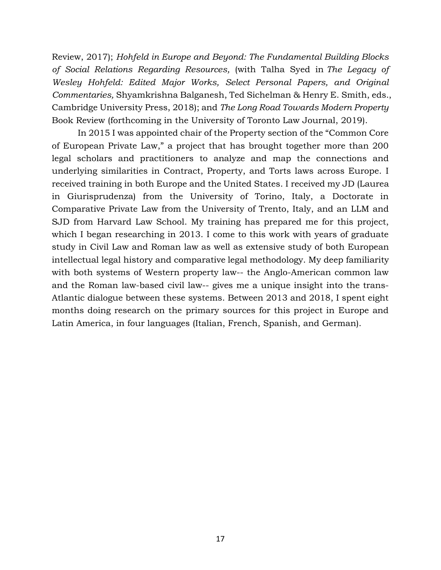Review, 2017); *Hohfeld in Europe and Beyond: The Fundamental Building Blocks of Social Relations Regarding Resources,* (with Talha Syed in *The Legacy of Wesley Hohfeld: Edited Major Works, Select Personal Papers, and Original Commentaries,* Shyamkrishna Balganesh, Ted Sichelman & Henry E. Smith, eds., Cambridge University Press, 2018); and *The Long Road Towards Modern Property*  Book Review (forthcoming in the University of Toronto Law Journal, 2019).

In 2015 I was appointed chair of the Property section of the "Common Core of European Private Law," a project that has brought together more than 200 legal scholars and practitioners to analyze and map the connections and underlying similarities in Contract, Property, and Torts laws across Europe. I received training in both Europe and the United States. I received my JD (Laurea in Giurisprudenza) from the University of Torino, Italy, a Doctorate in Comparative Private Law from the University of Trento, Italy, and an LLM and SJD from Harvard Law School. My training has prepared me for this project, which I began researching in 2013. I come to this work with years of graduate study in Civil Law and Roman law as well as extensive study of both European intellectual legal history and comparative legal methodology. My deep familiarity with both systems of Western property law-- the Anglo-American common law and the Roman law-based civil law-- gives me a unique insight into the trans-Atlantic dialogue between these systems. Between 2013 and 2018, I spent eight months doing research on the primary sources for this project in Europe and Latin America, in four languages (Italian, French, Spanish, and German).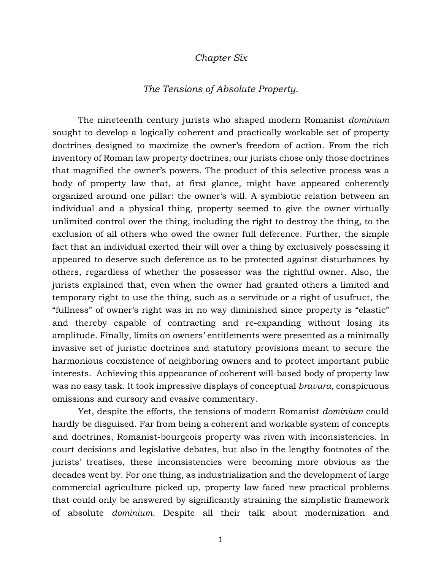#### *Chapter Six*

#### *The Tensions of Absolute Property.*

The nineteenth century jurists who shaped modern Romanist *dominium* sought to develop a logically coherent and practically workable set of property doctrines designed to maximize the owner's freedom of action. From the rich inventory of Roman law property doctrines, our jurists chose only those doctrines that magnified the owner's powers. The product of this selective process was a body of property law that, at first glance, might have appeared coherently organized around one pillar: the owner's will. A symbiotic relation between an individual and a physical thing, property seemed to give the owner virtually unlimited control over the thing, including the right to destroy the thing, to the exclusion of all others who owed the owner full deference. Further, the simple fact that an individual exerted their will over a thing by exclusively possessing it appeared to deserve such deference as to be protected against disturbances by others, regardless of whether the possessor was the rightful owner. Also, the jurists explained that, even when the owner had granted others a limited and temporary right to use the thing, such as a servitude or a right of usufruct, the "fullness" of owner's right was in no way diminished since property is "elastic" and thereby capable of contracting and re-expanding without losing its amplitude. Finally, limits on owners' entitlements were presented as a minimally invasive set of juristic doctrines and statutory provisions meant to secure the harmonious coexistence of neighboring owners and to protect important public interests. Achieving this appearance of coherent will-based body of property law was no easy task. It took impressive displays of conceptual *bravura*, conspicuous omissions and cursory and evasive commentary.

Yet, despite the efforts, the tensions of modern Romanist *dominium* could hardly be disguised. Far from being a coherent and workable system of concepts and doctrines, Romanist-bourgeois property was riven with inconsistencies. In court decisions and legislative debates, but also in the lengthy footnotes of the jurists' treatises, these inconsistencies were becoming more obvious as the decades went by. For one thing, as industrialization and the development of large commercial agriculture picked up, property law faced new practical problems that could only be answered by significantly straining the simplistic framework of absolute *dominium*. Despite all their talk about modernization and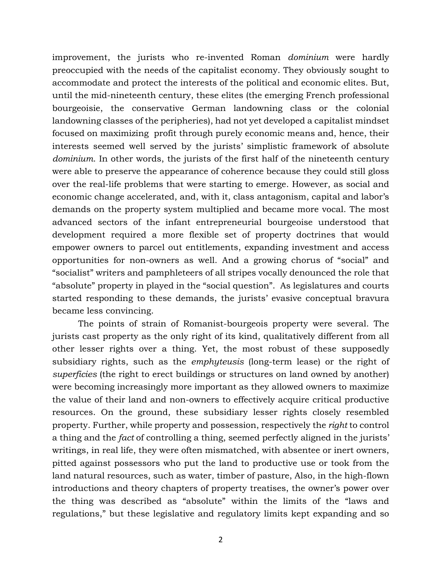improvement, the jurists who re-invented Roman *dominium* were hardly preoccupied with the needs of the capitalist economy. They obviously sought to accommodate and protect the interests of the political and economic elites. But, until the mid-nineteenth century, these elites (the emerging French professional bourgeoisie, the conservative German landowning class or the colonial landowning classes of the peripheries), had not yet developed a capitalist mindset focused on maximizing profit through purely economic means and, hence, their interests seemed well served by the jurists' simplistic framework of absolute *dominium*. In other words, the jurists of the first half of the nineteenth century were able to preserve the appearance of coherence because they could still gloss over the real-life problems that were starting to emerge. However, as social and economic change accelerated, and, with it, class antagonism, capital and labor's demands on the property system multiplied and became more vocal. The most advanced sectors of the infant entrepreneurial bourgeoise understood that development required a more flexible set of property doctrines that would empower owners to parcel out entitlements, expanding investment and access opportunities for non-owners as well. And a growing chorus of "social" and "socialist" writers and pamphleteers of all stripes vocally denounced the role that "absolute" property in played in the "social question". As legislatures and courts started responding to these demands, the jurists' evasive conceptual bravura became less convincing.

The points of strain of Romanist-bourgeois property were several. The jurists cast property as the only right of its kind, qualitatively different from all other lesser rights over a thing. Yet, the most robust of these supposedly subsidiary rights, such as the *emphyteusis* (long-term lease) or the right of *superficies* (the right to erect buildings or structures on land owned by another) were becoming increasingly more important as they allowed owners to maximize the value of their land and non-owners to effectively acquire critical productive resources. On the ground, these subsidiary lesser rights closely resembled property. Further, while property and possession, respectively the *right* to control a thing and the *fact* of controlling a thing, seemed perfectly aligned in the jurists' writings, in real life, they were often mismatched, with absentee or inert owners, pitted against possessors who put the land to productive use or took from the land natural resources, such as water, timber of pasture, Also, in the high-flown introductions and theory chapters of property treatises, the owner's power over the thing was described as "absolute" within the limits of the "laws and regulations," but these legislative and regulatory limits kept expanding and so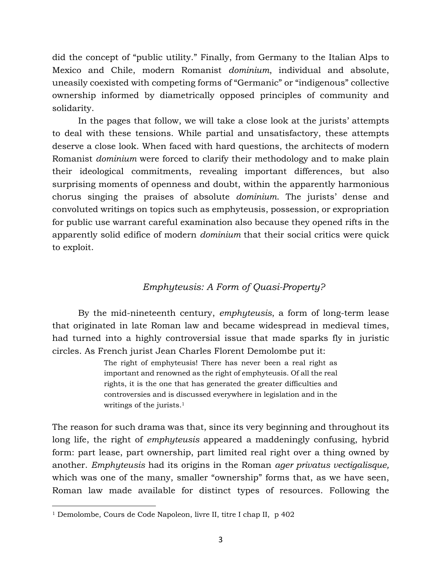did the concept of "public utility." Finally, from Germany to the Italian Alps to Mexico and Chile, modern Romanist *dominium*, individual and absolute, uneasily coexisted with competing forms of "Germanic" or "indigenous" collective ownership informed by diametrically opposed principles of community and solidarity.

In the pages that follow, we will take a close look at the jurists' attempts to deal with these tensions. While partial and unsatisfactory, these attempts deserve a close look. When faced with hard questions, the architects of modern Romanist *dominium* were forced to clarify their methodology and to make plain their ideological commitments, revealing important differences, but also surprising moments of openness and doubt, within the apparently harmonious chorus singing the praises of absolute *dominium*. The jurists' dense and convoluted writings on topics such as emphyteusis, possession, or expropriation for public use warrant careful examination also because they opened rifts in the apparently solid edifice of modern *dominium* that their social critics were quick to exploit.

# *Emphyteusis: A Form of Quasi-Property?*

By the mid-nineteenth century, *emphyteusis*, a form of long-term lease that originated in late Roman law and became widespread in medieval times, had turned into a highly controversial issue that made sparks fly in juristic circles. As French jurist Jean Charles Florent Demolombe put it:

> The right of emphyteusis! There has never been a real right as important and renowned as the right of emphyteusis. Of all the real rights, it is the one that has generated the greater difficulties and controversies and is discussed everywhere in legislation and in the writings of the jurists.1

The reason for such drama was that, since its very beginning and throughout its long life, the right of *emphyteusis* appeared a maddeningly confusing, hybrid form: part lease, part ownership, part limited real right over a thing owned by another. *Emphyteusis* had its origins in the Roman *ager privatus vectigalisque,* which was one of the many, smaller "ownership" forms that, as we have seen, Roman law made available for distinct types of resources. Following the

<sup>1</sup> Demolombe, Cours de Code Napoleon, livre II, titre I chap II, p 402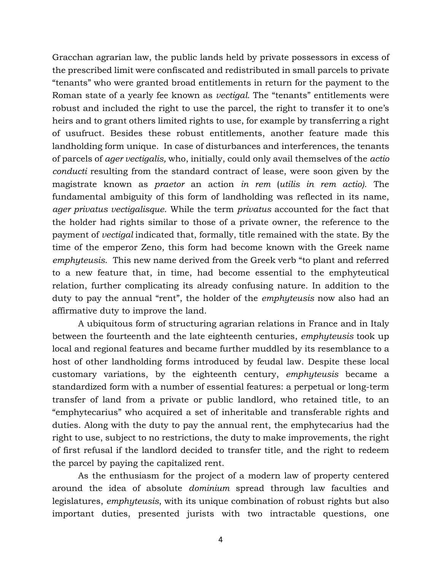Gracchan agrarian law, the public lands held by private possessors in excess of the prescribed limit were confiscated and redistributed in small parcels to private "tenants" who were granted broad entitlements in return for the payment to the Roman state of a yearly fee known as *vectigal.* The "tenants" entitlements were robust and included the right to use the parcel, the right to transfer it to one's heirs and to grant others limited rights to use, for example by transferring a right of usufruct. Besides these robust entitlements, another feature made this landholding form unique. In case of disturbances and interferences, the tenants of parcels of *ager vectigalis,* who, initially, could only avail themselves of the *actio conducti* resulting from the standard contract of lease, were soon given by the magistrate known as *praetor* an action *in rem* (*utilis in rem actio)*. The fundamental ambiguity of this form of landholding was reflected in its name, *ager privatus vectigalisque*. While the term *privatus* accounted for the fact that the holder had rights similar to those of a private owner, the reference to the payment of *vectigal* indicated that, formally, title remained with the state. By the time of the emperor Zeno, this form had become known with the Greek name *emphyteusis*. This new name derived from the Greek verb "to plant and referred to a new feature that, in time, had become essential to the emphyteutical relation, further complicating its already confusing nature. In addition to the duty to pay the annual "rent", the holder of the *emphyteusis* now also had an affirmative duty to improve the land.

A ubiquitous form of structuring agrarian relations in France and in Italy between the fourteenth and the late eighteenth centuries, *emphyteusis* took up local and regional features and became further muddled by its resemblance to a host of other landholding forms introduced by feudal law. Despite these local customary variations, by the eighteenth century, *emphyteusis* became a standardized form with a number of essential features: a perpetual or long-term transfer of land from a private or public landlord, who retained title, to an "emphytecarius" who acquired a set of inheritable and transferable rights and duties. Along with the duty to pay the annual rent, the emphytecarius had the right to use, subject to no restrictions, the duty to make improvements, the right of first refusal if the landlord decided to transfer title, and the right to redeem the parcel by paying the capitalized rent.

As the enthusiasm for the project of a modern law of property centered around the idea of absolute *dominium* spread through law faculties and legislatures, *emphyteusis*, with its unique combination of robust rights but also important duties, presented jurists with two intractable questions, one

4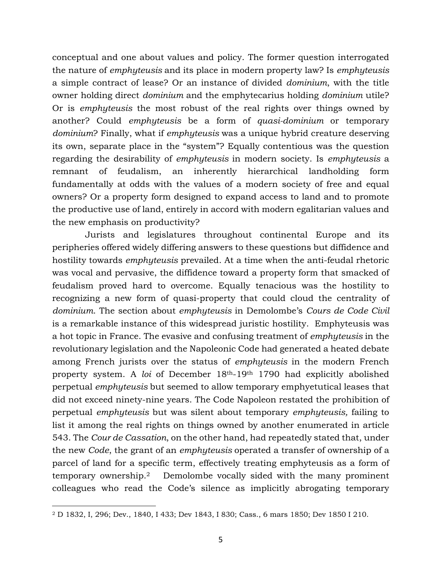conceptual and one about values and policy. The former question interrogated the nature of *emphyteusis* and its place in modern property law? Is *emphyteusis* a simple contract of lease? Or an instance of divided *dominium*, with the title owner holding direct *dominium* and the emphytecarius holding *dominium* utile? Or is *emphyteusis* the most robust of the real rights over things owned by another? Could *emphyteusis* be a form of *quasi-dominium* or temporary *dominium*? Finally, what if *emphyteusis* was a unique hybrid creature deserving its own, separate place in the "system"? Equally contentious was the question regarding the desirability of *emphyteusis* in modern society. Is *emphyteusis* a remnant of feudalism, an inherently hierarchical landholding form fundamentally at odds with the values of a modern society of free and equal owners? Or a property form designed to expand access to land and to promote the productive use of land, entirely in accord with modern egalitarian values and the new emphasis on productivity?

Jurists and legislatures throughout continental Europe and its peripheries offered widely differing answers to these questions but diffidence and hostility towards *emphyteusis* prevailed. At a time when the anti-feudal rhetoric was vocal and pervasive, the diffidence toward a property form that smacked of feudalism proved hard to overcome. Equally tenacious was the hostility to recognizing a new form of quasi-property that could cloud the centrality of *dominium*. The section about *emphyteusis* in Demolombe's *Cours de Code Civil*  is a remarkable instance of this widespread juristic hostility. Emphyteusis was a hot topic in France. The evasive and confusing treatment of *emphyteusis* in the revolutionary legislation and the Napoleonic Code had generated a heated debate among French jurists over the status of *emphyteusis* in the modern French property system. A *loi* of December 18th-19th 1790 had explicitly abolished perpetual *emphyteusis* but seemed to allow temporary emphyetutical leases that did not exceed ninety-nine years. The Code Napoleon restated the prohibition of perpetual *emphyteusis* but was silent about temporary *emphyteusis,* failing to list it among the real rights on things owned by another enumerated in article 543. The *Cour de Cassation*, on the other hand, had repeatedly stated that, under the new *Code*, the grant of an *emphyteusis* operated a transfer of ownership of a parcel of land for a specific term, effectively treating emphyteusis as a form of temporary ownership.2 Demolombe vocally sided with the many prominent colleagues who read the Code's silence as implicitly abrogating temporary

<sup>2</sup> D 1832, I, 296; Dev., 1840, I 433; Dev 1843, I 830; Cass., 6 mars 1850; Dev 1850 I 210.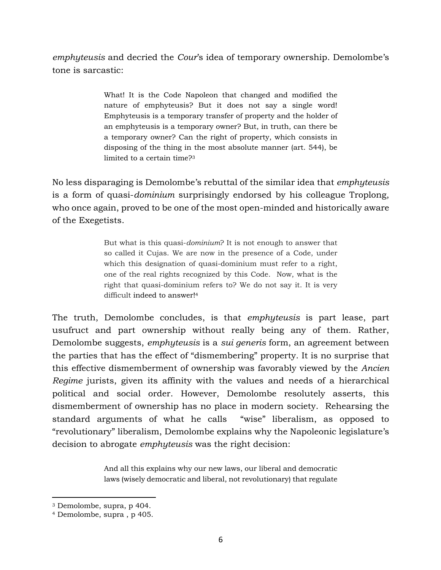*emphyteusis* and decried the *Cour*'s idea of temporary ownership. Demolombe's tone is sarcastic:

> What! It is the Code Napoleon that changed and modified the nature of emphyteusis? But it does not say a single word! Emphyteusis is a temporary transfer of property and the holder of an emphyteusis is a temporary owner? But, in truth, can there be a temporary owner? Can the right of property, which consists in disposing of the thing in the most absolute manner (art. 544), be limited to a certain time?3

No less disparaging is Demolombe's rebuttal of the similar idea that *emphyteusis* is a form of quasi-*dominium* surprisingly endorsed by his colleague Troplong, who once again, proved to be one of the most open-minded and historically aware of the Exegetists.

> But what is this quasi-*dominium*? It is not enough to answer that so called it Cujas. We are now in the presence of a Code, under which this designation of quasi-dominium must refer to a right, one of the real rights recognized by this Code. Now, what is the right that quasi-dominium refers to? We do not say it. It is very difficult indeed to answer!4

The truth, Demolombe concludes, is that *emphyteusis* is part lease, part usufruct and part ownership without really being any of them. Rather, Demolombe suggests, *emphyteusis* is a *sui generis* form, an agreement between the parties that has the effect of "dismembering" property. It is no surprise that this effective dismemberment of ownership was favorably viewed by the *Ancien Regime* jurists, given its affinity with the values and needs of a hierarchical political and social order. However, Demolombe resolutely asserts, this dismemberment of ownership has no place in modern society. Rehearsing the standard arguments of what he calls "wise" liberalism, as opposed to "revolutionary" liberalism, Demolombe explains why the Napoleonic legislature's decision to abrogate *emphyteusis* was the right decision:

> And all this explains why our new laws, our liberal and democratic laws (wisely democratic and liberal, not revolutionary) that regulate

<sup>3</sup> Demolombe, supra, p 404.

<sup>4</sup> Demolombe, supra , p 405.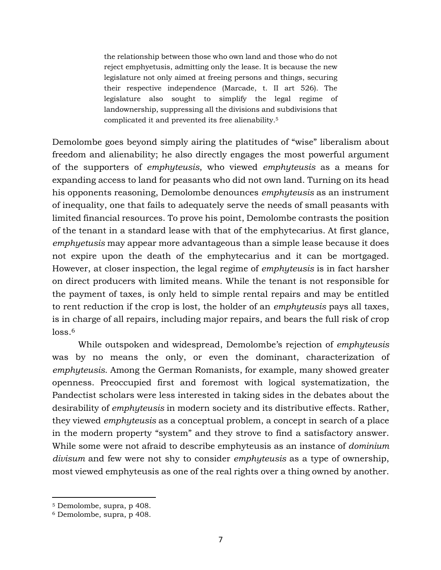the relationship between those who own land and those who do not reject emphyetusis, admitting only the lease. It is because the new legislature not only aimed at freeing persons and things, securing their respective independence (Marcade, t. II art 526). The legislature also sought to simplify the legal regime of landownership, suppressing all the divisions and subdivisions that complicated it and prevented its free alienability.5

Demolombe goes beyond simply airing the platitudes of "wise" liberalism about freedom and alienability; he also directly engages the most powerful argument of the supporters of *emphyteusis*, who viewed *emphyteusis* as a means for expanding access to land for peasants who did not own land. Turning on its head his opponents reasoning, Demolombe denounces *emphyteusis* as an instrument of inequality, one that fails to adequately serve the needs of small peasants with limited financial resources. To prove his point, Demolombe contrasts the position of the tenant in a standard lease with that of the emphytecarius. At first glance, *emphyetusis* may appear more advantageous than a simple lease because it does not expire upon the death of the emphytecarius and it can be mortgaged. However, at closer inspection, the legal regime of *emphyteusis* is in fact harsher on direct producers with limited means. While the tenant is not responsible for the payment of taxes, is only held to simple rental repairs and may be entitled to rent reduction if the crop is lost, the holder of an *emphyteusis* pays all taxes, is in charge of all repairs, including major repairs, and bears the full risk of crop  $loss<sup>6</sup>$ 

While outspoken and widespread, Demolombe's rejection of *emphyteusis* was by no means the only, or even the dominant, characterization of *emphyteusis*. Among the German Romanists, for example, many showed greater openness. Preoccupied first and foremost with logical systematization, the Pandectist scholars were less interested in taking sides in the debates about the desirability of *emphyteusis* in modern society and its distributive effects. Rather, they viewed *emphyteusis* as a conceptual problem, a concept in search of a place in the modern property "system" and they strove to find a satisfactory answer. While some were not afraid to describe emphyteusis as an instance of *dominium divisum* and few were not shy to consider *emphyteusis* as a type of ownership, most viewed emphyteusis as one of the real rights over a thing owned by another.

<sup>5</sup> Demolombe, supra, p 408.

<sup>6</sup> Demolombe, supra, p 408.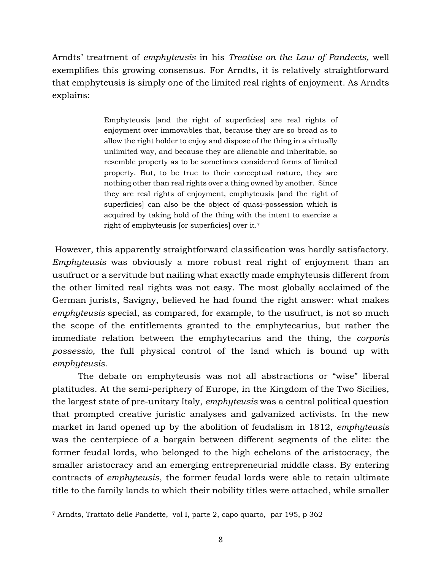Arndts' treatment of *emphyteusis* in his *Treatise on the Law of Pandects,* well exemplifies this growing consensus. For Arndts, it is relatively straightforward that emphyteusis is simply one of the limited real rights of enjoyment. As Arndts explains:

> Emphyteusis [and the right of superficies] are real rights of enjoyment over immovables that, because they are so broad as to allow the right holder to enjoy and dispose of the thing in a virtually unlimited way, and because they are alienable and inheritable, so resemble property as to be sometimes considered forms of limited property. But, to be true to their conceptual nature, they are nothing other than real rights over a thing owned by another. Since they are real rights of enjoyment, emphyteusis [and the right of superficies] can also be the object of quasi-possession which is acquired by taking hold of the thing with the intent to exercise a right of emphyteusis [or superficies] over it.7

However, this apparently straightforward classification was hardly satisfactory. *Emphyteusis* was obviously a more robust real right of enjoyment than an usufruct or a servitude but nailing what exactly made emphyteusis different from the other limited real rights was not easy. The most globally acclaimed of the German jurists, Savigny, believed he had found the right answer: what makes *emphyteusis* special, as compared, for example, to the usufruct, is not so much the scope of the entitlements granted to the emphytecarius, but rather the immediate relation between the emphytecarius and the thing, the *corporis possessio,* the full physical control of the land which is bound up with *emphyteusis*.

The debate on emphyteusis was not all abstractions or "wise" liberal platitudes. At the semi-periphery of Europe, in the Kingdom of the Two Sicilies, the largest state of pre-unitary Italy, *emphyteusis* was a central political question that prompted creative juristic analyses and galvanized activists. In the new market in land opened up by the abolition of feudalism in 1812, *emphyteusis* was the centerpiece of a bargain between different segments of the elite: the former feudal lords, who belonged to the high echelons of the aristocracy, the smaller aristocracy and an emerging entrepreneurial middle class. By entering contracts of *emphyteusis*, the former feudal lords were able to retain ultimate title to the family lands to which their nobility titles were attached, while smaller

<sup>7</sup> Arndts, Trattato delle Pandette, vol I, parte 2, capo quarto, par 195, p 362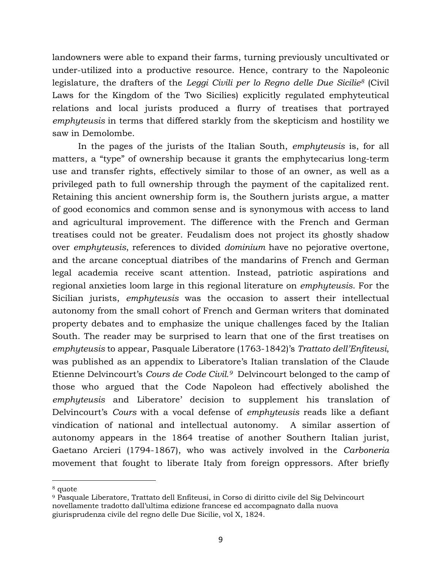landowners were able to expand their farms, turning previously uncultivated or under-utilized into a productive resource. Hence, contrary to the Napoleonic legislature, the drafters of the *Leggi Civili per lo Regno delle Due Sicilie8* (Civil Laws for the Kingdom of the Two Sicilies) explicitly regulated emphyteutical relations and local jurists produced a flurry of treatises that portrayed *emphyteusis* in terms that differed starkly from the skepticism and hostility we saw in Demolombe.

In the pages of the jurists of the Italian South, *emphyteusis* is, for all matters, a "type" of ownership because it grants the emphytecarius long-term use and transfer rights, effectively similar to those of an owner, as well as a privileged path to full ownership through the payment of the capitalized rent. Retaining this ancient ownership form is, the Southern jurists argue, a matter of good economics and common sense and is synonymous with access to land and agricultural improvement. The difference with the French and German treatises could not be greater. Feudalism does not project its ghostly shadow over *emphyteusis*, references to divided *dominium* have no pejorative overtone, and the arcane conceptual diatribes of the mandarins of French and German legal academia receive scant attention. Instead, patriotic aspirations and regional anxieties loom large in this regional literature on *emphyteusis*. For the Sicilian jurists, *emphyteusis* was the occasion to assert their intellectual autonomy from the small cohort of French and German writers that dominated property debates and to emphasize the unique challenges faced by the Italian South. The reader may be surprised to learn that one of the first treatises on *emphyteusis* to appear, Pasquale Liberatore (1763-1842)'s *Trattato dell'Enfiteusi*, was published as an appendix to Liberatore's Italian translation of the Claude Etienne Delvincourt's *Cours de Code Civil.9* Delvincourt belonged to the camp of those who argued that the Code Napoleon had effectively abolished the *emphyteusis* and Liberatore' decision to supplement his translation of Delvincourt's *Cours* with a vocal defense of *emphyteusis* reads like a defiant vindication of national and intellectual autonomy. A similar assertion of autonomy appears in the 1864 treatise of another Southern Italian jurist, Gaetano Arcieri (1794-1867), who was actively involved in the *Carboneria* movement that fought to liberate Italy from foreign oppressors. After briefly

<sup>8</sup> quote

<sup>9</sup> Pasquale Liberatore, Trattato dell Enfiteusi, in Corso di diritto civile del Sig Delvincourt novellamente tradotto dall'ultima edizione francese ed accompagnato dalla nuova giurisprudenza civile del regno delle Due Sicilie, vol X, 1824.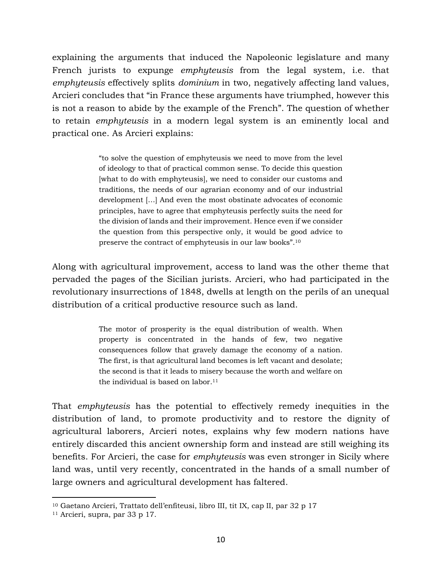explaining the arguments that induced the Napoleonic legislature and many French jurists to expunge *emphyteusis* from the legal system, i.e. that *emphyteusis* effectively splits *dominium* in two, negatively affecting land values, Arcieri concludes that "in France these arguments have triumphed, however this is not a reason to abide by the example of the French". The question of whether to retain *emphyteusis* in a modern legal system is an eminently local and practical one. As Arcieri explains:

> "to solve the question of emphyteusis we need to move from the level of ideology to that of practical common sense. To decide this question [what to do with emphyteusis], we need to consider our customs and traditions, the needs of our agrarian economy and of our industrial development […] And even the most obstinate advocates of economic principles, have to agree that emphyteusis perfectly suits the need for the division of lands and their improvement. Hence even if we consider the question from this perspective only, it would be good advice to preserve the contract of emphyteusis in our law books".10

Along with agricultural improvement, access to land was the other theme that pervaded the pages of the Sicilian jurists. Arcieri, who had participated in the revolutionary insurrections of 1848, dwells at length on the perils of an unequal distribution of a critical productive resource such as land.

> The motor of prosperity is the equal distribution of wealth. When property is concentrated in the hands of few, two negative consequences follow that gravely damage the economy of a nation. The first, is that agricultural land becomes is left vacant and desolate; the second is that it leads to misery because the worth and welfare on the individual is based on labor.<sup>11</sup>

That *emphyteusis* has the potential to effectively remedy inequities in the distribution of land, to promote productivity and to restore the dignity of agricultural laborers, Arcieri notes, explains why few modern nations have entirely discarded this ancient ownership form and instead are still weighing its benefits. For Arcieri, the case for *emphyteusis* was even stronger in Sicily where land was, until very recently, concentrated in the hands of a small number of large owners and agricultural development has faltered.

<sup>10</sup> Gaetano Arcieri, Trattato dell'enfiteusi, libro III, tit IX, cap II, par 32 p 17

<sup>11</sup> Arcieri, supra, par 33 p 17.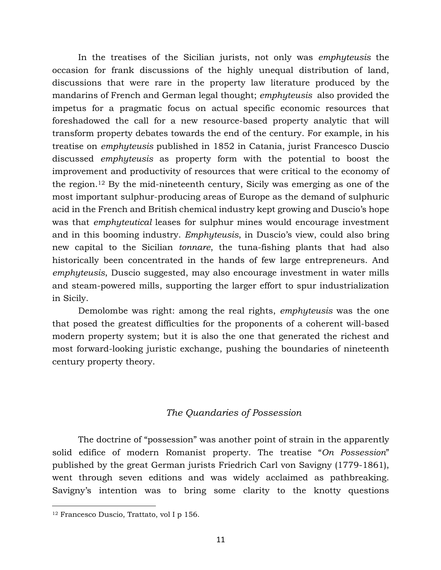In the treatises of the Sicilian jurists, not only was *emphyteusis* the occasion for frank discussions of the highly unequal distribution of land, discussions that were rare in the property law literature produced by the mandarins of French and German legal thought; *emphyteusis* also provided the impetus for a pragmatic focus on actual specific economic resources that foreshadowed the call for a new resource-based property analytic that will transform property debates towards the end of the century. For example, in his treatise on *emphyteusis* published in 1852 in Catania, jurist Francesco Duscio discussed *emphyteusis* as property form with the potential to boost the improvement and productivity of resources that were critical to the economy of the region.12 By the mid-nineteenth century, Sicily was emerging as one of the most important sulphur-producing areas of Europe as the demand of sulphuric acid in the French and British chemical industry kept growing and Duscio's hope was that *emphyteutical* leases for sulphur mines would encourage investment and in this booming industry. *Emphyteusis*, in Duscio's view, could also bring new capital to the Sicilian *tonnare*, the tuna-fishing plants that had also historically been concentrated in the hands of few large entrepreneurs. And *emphyteusis*, Duscio suggested, may also encourage investment in water mills and steam-powered mills, supporting the larger effort to spur industrialization in Sicily.

Demolombe was right: among the real rights, *emphyteusis* was the one that posed the greatest difficulties for the proponents of a coherent will-based modern property system; but it is also the one that generated the richest and most forward-looking juristic exchange, pushing the boundaries of nineteenth century property theory.

## *The Quandaries of Possession*

The doctrine of "possession" was another point of strain in the apparently solid edifice of modern Romanist property. The treatise "*On Possession*" published by the great German jurists Friedrich Carl von Savigny (1779-1861), went through seven editions and was widely acclaimed as pathbreaking. Savigny's intention was to bring some clarity to the knotty questions

<sup>&</sup>lt;sup>12</sup> Francesco Duscio, Trattato, vol I p 156.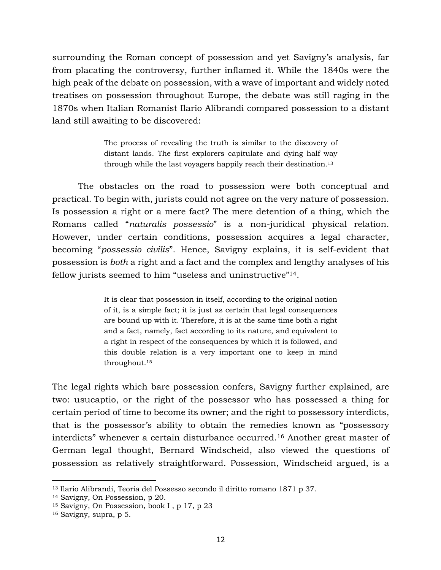surrounding the Roman concept of possession and yet Savigny's analysis, far from placating the controversy, further inflamed it. While the 1840s were the high peak of the debate on possession, with a wave of important and widely noted treatises on possession throughout Europe, the debate was still raging in the 1870s when Italian Romanist Ilario Alibrandi compared possession to a distant land still awaiting to be discovered:

> The process of revealing the truth is similar to the discovery of distant lands. The first explorers capitulate and dying half way through while the last voyagers happily reach their destination.13

The obstacles on the road to possession were both conceptual and practical. To begin with, jurists could not agree on the very nature of possession. Is possession a right or a mere fact? The mere detention of a thing, which the Romans called "*naturalis possessio*" is a non-juridical physical relation. However, under certain conditions, possession acquires a legal character, becoming "*possessio civilis*". Hence, Savigny explains, it is self-evident that possession is *both* a right and a fact and the complex and lengthy analyses of his fellow jurists seemed to him "useless and uninstructive"14.

> It is clear that possession in itself, according to the original notion of it, is a simple fact; it is just as certain that legal consequences are bound up with it. Therefore, it is at the same time both a right and a fact, namely, fact according to its nature, and equivalent to a right in respect of the consequences by which it is followed, and this double relation is a very important one to keep in mind throughout.15

The legal rights which bare possession confers, Savigny further explained, are two: usucaptio, or the right of the possessor who has possessed a thing for certain period of time to become its owner; and the right to possessory interdicts, that is the possessor's ability to obtain the remedies known as "possessory interdicts" whenever a certain disturbance occurred.16 Another great master of German legal thought, Bernard Windscheid, also viewed the questions of possession as relatively straightforward. Possession, Windscheid argued, is a

<sup>13</sup> Ilario Alibrandi, Teoria del Possesso secondo il diritto romano 1871 p 37.

<sup>14</sup> Savigny, On Possession, p 20.

<sup>15</sup> Savigny, On Possession, book I , p 17, p 23

<sup>16</sup> Savigny, supra, p 5.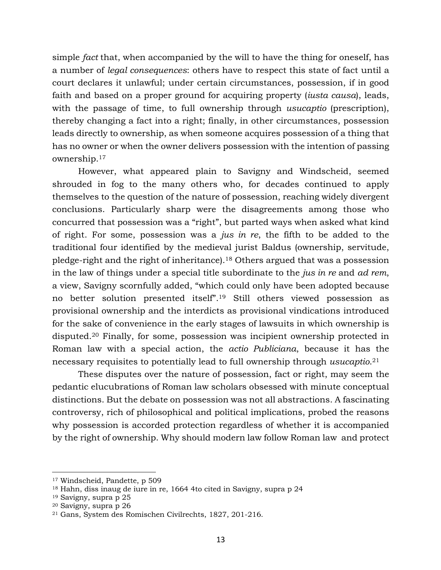simple *fact* that, when accompanied by the will to have the thing for oneself, has a number of *legal consequences*: others have to respect this state of fact until a court declares it unlawful; under certain circumstances, possession, if in good faith and based on a proper ground for acquiring property (*iusta causa*), leads, with the passage of time, to full ownership through *usucaptio* (prescription), thereby changing a fact into a right; finally, in other circumstances, possession leads directly to ownership, as when someone acquires possession of a thing that has no owner or when the owner delivers possession with the intention of passing ownership.17

However, what appeared plain to Savigny and Windscheid, seemed shrouded in fog to the many others who, for decades continued to apply themselves to the question of the nature of possession, reaching widely divergent conclusions. Particularly sharp were the disagreements among those who concurred that possession was a "right", but parted ways when asked what kind of right. For some, possession was a *jus in re*, the fifth to be added to the traditional four identified by the medieval jurist Baldus (ownership, servitude, pledge-right and the right of inheritance).18 Others argued that was a possession in the law of things under a special title subordinate to the *jus in re* and *ad rem*, a view, Savigny scornfully added, "which could only have been adopted because no better solution presented itself".19 Still others viewed possession as provisional ownership and the interdicts as provisional vindications introduced for the sake of convenience in the early stages of lawsuits in which ownership is disputed.20 Finally, for some, possession was incipient ownership protected in Roman law with a special action, the *actio Publiciana*, because it has the necessary requisites to potentially lead to full ownership through *usucaptio*.21

These disputes over the nature of possession, fact or right, may seem the pedantic elucubrations of Roman law scholars obsessed with minute conceptual distinctions. But the debate on possession was not all abstractions. A fascinating controversy, rich of philosophical and political implications, probed the reasons why possession is accorded protection regardless of whether it is accompanied by the right of ownership. Why should modern law follow Roman law and protect

<sup>17</sup> Windscheid, Pandette, p 509

<sup>18</sup> Hahn, diss inaug de iure in re, 1664 4to cited in Savigny, supra p 24

<sup>19</sup> Savigny, supra p 25

<sup>20</sup> Savigny, supra p 26

<sup>21</sup> Gans, System des Romischen Civilrechts, 1827, 201-216.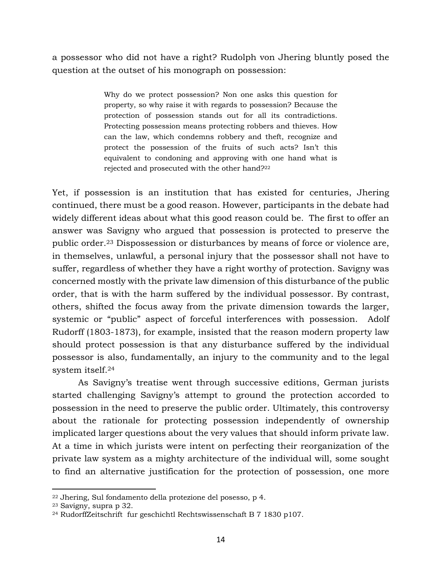a possessor who did not have a right? Rudolph von Jhering bluntly posed the question at the outset of his monograph on possession:

> Why do we protect possession? Non one asks this question for property, so why raise it with regards to possession? Because the protection of possession stands out for all its contradictions. Protecting possession means protecting robbers and thieves. How can the law, which condemns robbery and theft, recognize and protect the possession of the fruits of such acts? Isn't this equivalent to condoning and approving with one hand what is rejected and prosecuted with the other hand?22

Yet, if possession is an institution that has existed for centuries, Jhering continued, there must be a good reason. However, participants in the debate had widely different ideas about what this good reason could be. The first to offer an answer was Savigny who argued that possession is protected to preserve the public order.23 Dispossession or disturbances by means of force or violence are, in themselves, unlawful, a personal injury that the possessor shall not have to suffer, regardless of whether they have a right worthy of protection. Savigny was concerned mostly with the private law dimension of this disturbance of the public order, that is with the harm suffered by the individual possessor. By contrast, others, shifted the focus away from the private dimension towards the larger, systemic or "public" aspect of forceful interferences with possession. Adolf Rudorff (1803-1873), for example, insisted that the reason modern property law should protect possession is that any disturbance suffered by the individual possessor is also, fundamentally, an injury to the community and to the legal system itself.24

As Savigny's treatise went through successive editions, German jurists started challenging Savigny's attempt to ground the protection accorded to possession in the need to preserve the public order. Ultimately, this controversy about the rationale for protecting possession independently of ownership implicated larger questions about the very values that should inform private law. At a time in which jurists were intent on perfecting their reorganization of the private law system as a mighty architecture of the individual will, some sought to find an alternative justification for the protection of possession, one more

<sup>22</sup> Jhering, Sul fondamento della protezione del posesso, p 4.

<sup>23</sup> Savigny, supra p 32.

<sup>24</sup> RudorffZeitschrift fur geschichtl Rechtswissenschaft B 7 1830 p107.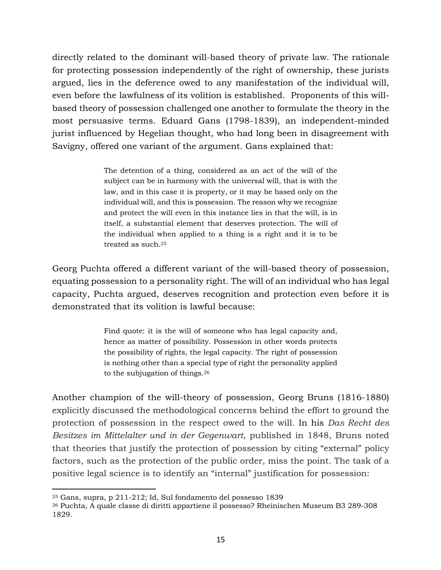directly related to the dominant will-based theory of private law. The rationale for protecting possession independently of the right of ownership, these jurists argued, lies in the deference owed to any manifestation of the individual will, even before the lawfulness of its volition is established. Proponents of this willbased theory of possession challenged one another to formulate the theory in the most persuasive terms. Eduard Gans (1798-1839), an independent-minded jurist influenced by Hegelian thought, who had long been in disagreement with Savigny, offered one variant of the argument. Gans explained that:

> The detention of a thing, considered as an act of the will of the subject can be in harmony with the universal will, that is with the law, and in this case it is property, or it may be based only on the individual will, and this is possession. The reason why we recognize and protect the will even in this instance lies in that the will, is in itself, a substantial element that deserves protection. The will of the individual when applied to a thing is a right and it is to be treated as such.25

Georg Puchta offered a different variant of the will-based theory of possession, equating possession to a personality right. The will of an individual who has legal capacity, Puchta argued, deserves recognition and protection even before it is demonstrated that its volition is lawful because:

> Find quote: it is the will of someone who has legal capacity and, hence as matter of possibility. Possession in other words protects the possibility of rights, the legal capacity. The right of possession is nothing other than a special type of right the personality applied to the subjugation of things.26

Another champion of the will-theory of possession, Georg Bruns (1816-1880) explicitly discussed the methodological concerns behind the effort to ground the protection of possession in the respect owed to the will. In his *Das Recht des Besitzes im Mittelalter und in der Gegenwart*, published in 1848, Bruns noted that theories that justify the protection of possession by citing "external" policy factors, such as the protection of the public order, miss the point. The task of a positive legal science is to identify an "internal" justification for possession:

<sup>25</sup> Gans, supra, p 211-212; Id, Sul fondamento del possesso 1839

<sup>26</sup> Puchta, A quale classe di diritti appartiene il possesso? Rheinischen Museum B3 289-308 1829.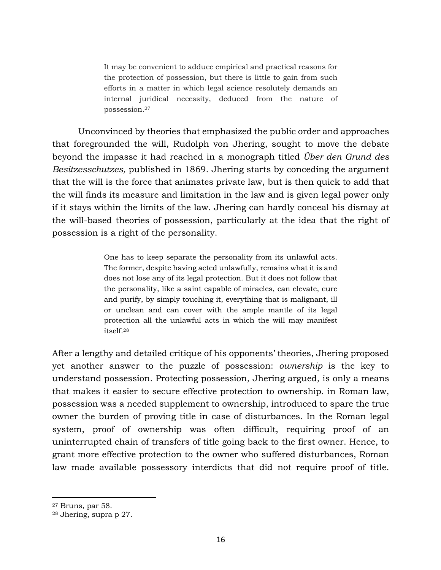It may be convenient to adduce empirical and practical reasons for the protection of possession, but there is little to gain from such efforts in a matter in which legal science resolutely demands an internal juridical necessity, deduced from the nature of possession.27

Unconvinced by theories that emphasized the public order and approaches that foregrounded the will, Rudolph von Jhering, sought to move the debate beyond the impasse it had reached in a monograph titled *Über den Grund des Besitzesschutzes,* published in 1869. Jhering starts by conceding the argument that the will is the force that animates private law, but is then quick to add that the will finds its measure and limitation in the law and is given legal power only if it stays within the limits of the law. Jhering can hardly conceal his dismay at the will-based theories of possession, particularly at the idea that the right of possession is a right of the personality.

> One has to keep separate the personality from its unlawful acts. The former, despite having acted unlawfully, remains what it is and does not lose any of its legal protection. But it does not follow that the personality, like a saint capable of miracles, can elevate, cure and purify, by simply touching it, everything that is malignant, ill or unclean and can cover with the ample mantle of its legal protection all the unlawful acts in which the will may manifest itself.28

After a lengthy and detailed critique of his opponents' theories, Jhering proposed yet another answer to the puzzle of possession: *ownership* is the key to understand possession. Protecting possession, Jhering argued, is only a means that makes it easier to secure effective protection to ownership. in Roman law, possession was a needed supplement to ownership, introduced to spare the true owner the burden of proving title in case of disturbances. In the Roman legal system, proof of ownership was often difficult, requiring proof of an uninterrupted chain of transfers of title going back to the first owner. Hence, to grant more effective protection to the owner who suffered disturbances, Roman law made available possessory interdicts that did not require proof of title.

<sup>27</sup> Bruns, par 58.

<sup>28</sup> Jhering, supra p 27.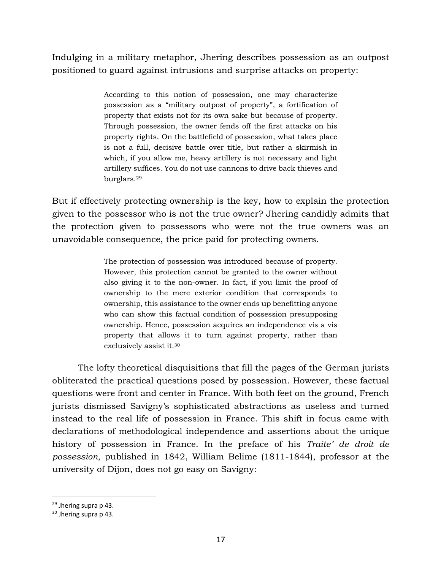Indulging in a military metaphor, Jhering describes possession as an outpost positioned to guard against intrusions and surprise attacks on property:

> According to this notion of possession, one may characterize possession as a "military outpost of property", a fortification of property that exists not for its own sake but because of property. Through possession, the owner fends off the first attacks on his property rights. On the battlefield of possession, what takes place is not a full, decisive battle over title, but rather a skirmish in which, if you allow me, heavy artillery is not necessary and light artillery suffices. You do not use cannons to drive back thieves and burglars.29

But if effectively protecting ownership is the key, how to explain the protection given to the possessor who is not the true owner? Jhering candidly admits that the protection given to possessors who were not the true owners was an unavoidable consequence, the price paid for protecting owners.

> The protection of possession was introduced because of property. However, this protection cannot be granted to the owner without also giving it to the non-owner. In fact, if you limit the proof of ownership to the mere exterior condition that corresponds to ownership, this assistance to the owner ends up benefitting anyone who can show this factual condition of possession presupposing ownership. Hence, possession acquires an independence vis a vis property that allows it to turn against property, rather than exclusively assist it.30

The lofty theoretical disquisitions that fill the pages of the German jurists obliterated the practical questions posed by possession. However, these factual questions were front and center in France. With both feet on the ground, French jurists dismissed Savigny's sophisticated abstractions as useless and turned instead to the real life of possession in France. This shift in focus came with declarations of methodological independence and assertions about the unique history of possession in France. In the preface of his *Traite' de droit de possession*, published in 1842, William Belime (1811-1844), professor at the university of Dijon, does not go easy on Savigny:

<sup>&</sup>lt;sup>29</sup> Jhering supra p 43.<br><sup>30</sup> Jhering supra p 43.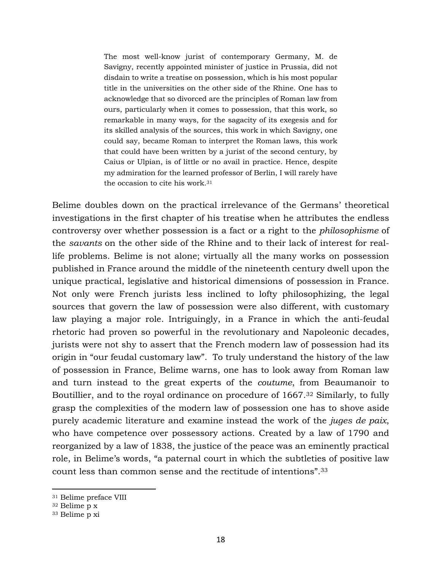The most well-know jurist of contemporary Germany, M. de Savigny, recently appointed minister of justice in Prussia, did not disdain to write a treatise on possession, which is his most popular title in the universities on the other side of the Rhine. One has to acknowledge that so divorced are the principles of Roman law from ours, particularly when it comes to possession, that this work, so remarkable in many ways, for the sagacity of its exegesis and for its skilled analysis of the sources, this work in which Savigny, one could say, became Roman to interpret the Roman laws, this work that could have been written by a jurist of the second century, by Caius or Ulpian, is of little or no avail in practice. Hence, despite my admiration for the learned professor of Berlin, I will rarely have the occasion to cite his work.31

Belime doubles down on the practical irrelevance of the Germans' theoretical investigations in the first chapter of his treatise when he attributes the endless controversy over whether possession is a fact or a right to the *philosophisme* of the *savants* on the other side of the Rhine and to their lack of interest for reallife problems. Belime is not alone; virtually all the many works on possession published in France around the middle of the nineteenth century dwell upon the unique practical, legislative and historical dimensions of possession in France. Not only were French jurists less inclined to lofty philosophizing, the legal sources that govern the law of possession were also different, with customary law playing a major role. Intriguingly, in a France in which the anti-feudal rhetoric had proven so powerful in the revolutionary and Napoleonic decades, jurists were not shy to assert that the French modern law of possession had its origin in "our feudal customary law". To truly understand the history of the law of possession in France, Belime warns, one has to look away from Roman law and turn instead to the great experts of the *coutume*, from Beaumanoir to Boutillier, and to the royal ordinance on procedure of 1667.<sup>32</sup> Similarly, to fully grasp the complexities of the modern law of possession one has to shove aside purely academic literature and examine instead the work of the *juges de paix*, who have competence over possessory actions. Created by a law of 1790 and reorganized by a law of 1838, the justice of the peace was an eminently practical role, in Belime's words, "a paternal court in which the subtleties of positive law count less than common sense and the rectitude of intentions".33

<sup>31</sup> Belime preface VIII

<sup>32</sup> Belime p x

<sup>33</sup> Belime p xi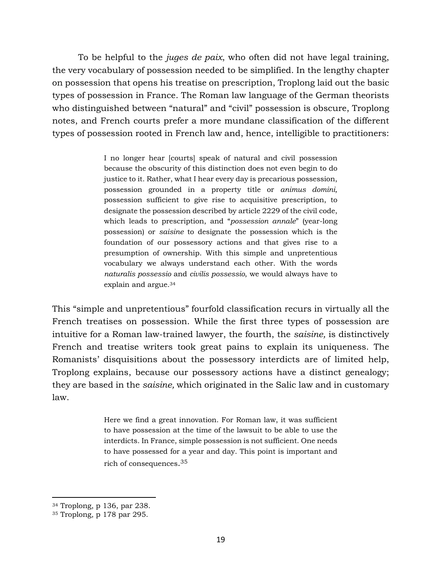To be helpful to the *juges de paix*, who often did not have legal training, the very vocabulary of possession needed to be simplified. In the lengthy chapter on possession that opens his treatise on prescription, Troplong laid out the basic types of possession in France. The Roman law language of the German theorists who distinguished between "natural" and "civil" possession is obscure, Troplong notes, and French courts prefer a more mundane classification of the different types of possession rooted in French law and, hence, intelligible to practitioners:

> I no longer hear [courts] speak of natural and civil possession because the obscurity of this distinction does not even begin to do justice to it. Rather, what I hear every day is precarious possession, possession grounded in a property title or *animus domini,* possession sufficient to give rise to acquisitive prescription, to designate the possession described by article 2229 of the civil code, which leads to prescription, and "*possession annale*" (year-long possession) or *saisine* to designate the possession which is the foundation of our possessory actions and that gives rise to a presumption of ownership. With this simple and unpretentious vocabulary we always understand each other. With the words *naturalis possessio* and *civilis possessio*, we would always have to explain and argue.34

This "simple and unpretentious" fourfold classification recurs in virtually all the French treatises on possession. While the first three types of possession are intuitive for a Roman law-trained lawyer, the fourth, the *saisine,* is distinctively French and treatise writers took great pains to explain its uniqueness. The Romanists' disquisitions about the possessory interdicts are of limited help, Troplong explains, because our possessory actions have a distinct genealogy; they are based in the *saisine,* which originated in the Salic law and in customary law.

> Here we find a great innovation. For Roman law, it was sufficient to have possession at the time of the lawsuit to be able to use the interdicts. In France, simple possession is not sufficient. One needs to have possessed for a year and day. This point is important and rich of consequences.35

<sup>34</sup> Troplong, p 136, par 238.

<sup>35</sup> Troplong, p 178 par 295.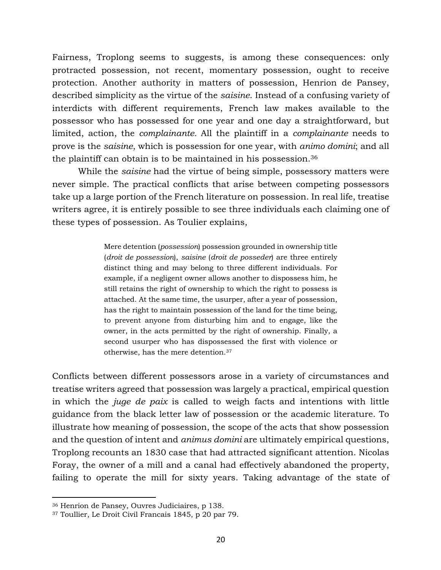Fairness, Troplong seems to suggests, is among these consequences: only protracted possession, not recent, momentary possession, ought to receive protection. Another authority in matters of possession, Henrion de Pansey, described simplicity as the virtue of the *saisine*. Instead of a confusing variety of interdicts with different requirements, French law makes available to the possessor who has possessed for one year and one day a straightforward, but limited, action, the *complainante.* All the plaintiff in a *complainante* needs to prove is the *saisine*, which is possession for one year, with *animo domini*; and all the plaintiff can obtain is to be maintained in his possession.36

While the *saisine* had the virtue of being simple, possessory matters were never simple. The practical conflicts that arise between competing possessors take up a large portion of the French literature on possession. In real life, treatise writers agree, it is entirely possible to see three individuals each claiming one of these types of possession. As Toulier explains,

> Mere detention (*possession*) possession grounded in ownership title (*droit de possession*), *saisine* (*droit de posseder*) are three entirely distinct thing and may belong to three different individuals. For example, if a negligent owner allows another to dispossess him, he still retains the right of ownership to which the right to possess is attached. At the same time, the usurper, after a year of possession, has the right to maintain possession of the land for the time being, to prevent anyone from disturbing him and to engage, like the owner, in the acts permitted by the right of ownership. Finally, a second usurper who has dispossessed the first with violence or otherwise, has the mere detention.37

Conflicts between different possessors arose in a variety of circumstances and treatise writers agreed that possession was largely a practical, empirical question in which the *juge de paix* is called to weigh facts and intentions with little guidance from the black letter law of possession or the academic literature. To illustrate how meaning of possession, the scope of the acts that show possession and the question of intent and *animus domini* are ultimately empirical questions, Troplong recounts an 1830 case that had attracted significant attention. Nicolas Foray, the owner of a mill and a canal had effectively abandoned the property, failing to operate the mill for sixty years. Taking advantage of the state of

<sup>36</sup> Henrion de Pansey, Ouvres Judiciaires, p 138.

<sup>37</sup> Toullier, Le Droit Civil Francais 1845, p 20 par 79.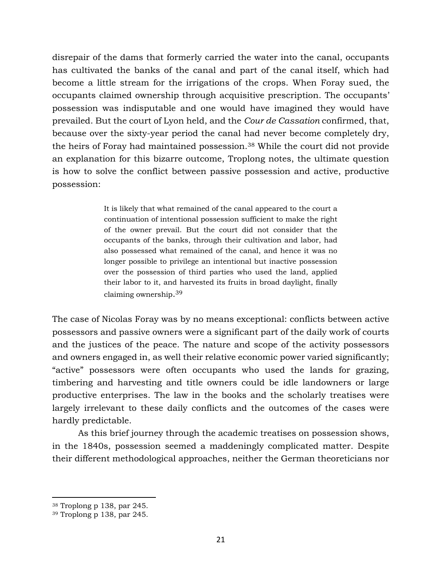disrepair of the dams that formerly carried the water into the canal, occupants has cultivated the banks of the canal and part of the canal itself, which had become a little stream for the irrigations of the crops. When Foray sued, the occupants claimed ownership through acquisitive prescription. The occupants' possession was indisputable and one would have imagined they would have prevailed. But the court of Lyon held, and the *Cour de Cassation* confirmed, that, because over the sixty-year period the canal had never become completely dry, the heirs of Foray had maintained possession.38 While the court did not provide an explanation for this bizarre outcome, Troplong notes, the ultimate question is how to solve the conflict between passive possession and active, productive possession:

> It is likely that what remained of the canal appeared to the court a continuation of intentional possession sufficient to make the right of the owner prevail. But the court did not consider that the occupants of the banks, through their cultivation and labor, had also possessed what remained of the canal, and hence it was no longer possible to privilege an intentional but inactive possession over the possession of third parties who used the land, applied their labor to it, and harvested its fruits in broad daylight, finally claiming ownership.39

The case of Nicolas Foray was by no means exceptional: conflicts between active possessors and passive owners were a significant part of the daily work of courts and the justices of the peace. The nature and scope of the activity possessors and owners engaged in, as well their relative economic power varied significantly; "active" possessors were often occupants who used the lands for grazing, timbering and harvesting and title owners could be idle landowners or large productive enterprises. The law in the books and the scholarly treatises were largely irrelevant to these daily conflicts and the outcomes of the cases were hardly predictable.

As this brief journey through the academic treatises on possession shows, in the 1840s, possession seemed a maddeningly complicated matter. Despite their different methodological approaches, neither the German theoreticians nor

<sup>38</sup> Troplong p 138, par 245.

<sup>39</sup> Troplong p 138, par 245.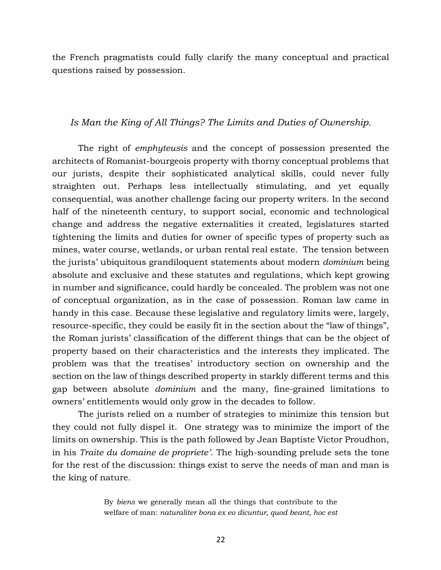the French pragmatists could fully clarify the many conceptual and practical questions raised by possession.

#### *Is Man the King of All Things? The Limits and Duties of Ownership.*

The right of *emphyteusis* and the concept of possession presented the architects of Romanist-bourgeois property with thorny conceptual problems that our jurists, despite their sophisticated analytical skills, could never fully straighten out. Perhaps less intellectually stimulating, and yet equally consequential, was another challenge facing our property writers. In the second half of the nineteenth century, to support social, economic and technological change and address the negative externalities it created, legislatures started tightening the limits and duties for owner of specific types of property such as mines, water course, wetlands, or urban rental real estate. The tension between the jurists' ubiquitous grandiloquent statements about modern *dominium* being absolute and exclusive and these statutes and regulations, which kept growing in number and significance, could hardly be concealed. The problem was not one of conceptual organization, as in the case of possession. Roman law came in handy in this case. Because these legislative and regulatory limits were, largely, resource-specific, they could be easily fit in the section about the "law of things", the Roman jurists' classification of the different things that can be the object of property based on their characteristics and the interests they implicated. The problem was that the treatises' introductory section on ownership and the section on the law of things described property in starkly different terms and this gap between absolute *dominium* and the many, fine-grained limitations to owners' entitlements would only grow in the decades to follow.

The jurists relied on a number of strategies to minimize this tension but they could not fully dispel it. One strategy was to minimize the import of the limits on ownership. This is the path followed by Jean Baptiste Victor Proudhon, in his *Traite du domaine de propriete'*. The high-sounding prelude sets the tone for the rest of the discussion: things exist to serve the needs of man and man is the king of nature.

> By *biens* we generally mean all the things that contribute to the welfare of man: *naturaliter bona ex eo dicuntur, quod beant, hoc est*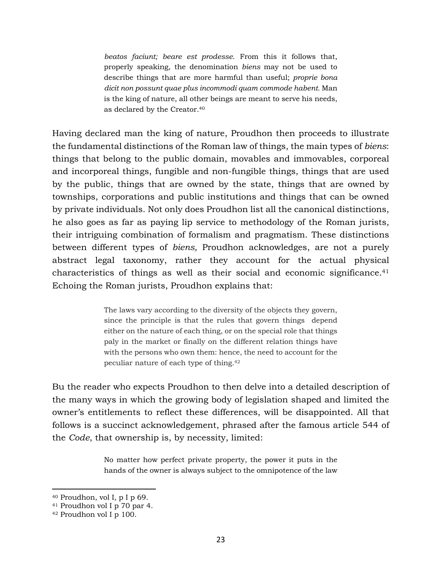*beatos faciunt; beare est prodesse*. From this it follows that, properly speaking, the denomination *biens* may not be used to describe things that are more harmful than useful; *proprie bona dicit non possunt quae plus incommodi quam commode habent.* Man is the king of nature, all other beings are meant to serve his needs, as declared by the Creator.40

Having declared man the king of nature, Proudhon then proceeds to illustrate the fundamental distinctions of the Roman law of things, the main types of *biens*: things that belong to the public domain, movables and immovables, corporeal and incorporeal things, fungible and non-fungible things, things that are used by the public, things that are owned by the state, things that are owned by townships, corporations and public institutions and things that can be owned by private individuals. Not only does Proudhon list all the canonical distinctions, he also goes as far as paying lip service to methodology of the Roman jurists, their intriguing combination of formalism and pragmatism. These distinctions between different types of *biens,* Proudhon acknowledges, are not a purely abstract legal taxonomy, rather they account for the actual physical characteristics of things as well as their social and economic significance.<sup>41</sup> Echoing the Roman jurists, Proudhon explains that:

> The laws vary according to the diversity of the objects they govern, since the principle is that the rules that govern things depend either on the nature of each thing, or on the special role that things paly in the market or finally on the different relation things have with the persons who own them: hence, the need to account for the peculiar nature of each type of thing.42

Bu the reader who expects Proudhon to then delve into a detailed description of the many ways in which the growing body of legislation shaped and limited the owner's entitlements to reflect these differences, will be disappointed. All that follows is a succinct acknowledgement, phrased after the famous article 544 of the *Code*, that ownership is, by necessity, limited:

> No matter how perfect private property, the power it puts in the hands of the owner is always subject to the omnipotence of the law

<sup>40</sup> Proudhon, vol I, p I p 69.

<sup>41</sup> Proudhon vol I p 70 par 4.

<sup>42</sup> Proudhon vol I p 100.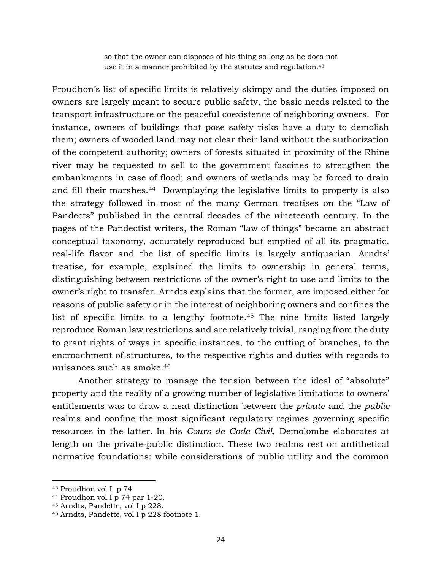so that the owner can disposes of his thing so long as he does not use it in a manner prohibited by the statutes and regulation.<sup>43</sup>

Proudhon's list of specific limits is relatively skimpy and the duties imposed on owners are largely meant to secure public safety, the basic needs related to the transport infrastructure or the peaceful coexistence of neighboring owners. For instance, owners of buildings that pose safety risks have a duty to demolish them; owners of wooded land may not clear their land without the authorization of the competent authority; owners of forests situated in proximity of the Rhine river may be requested to sell to the government fascines to strengthen the embankments in case of flood; and owners of wetlands may be forced to drain and fill their marshes.<sup>44</sup> Downplaying the legislative limits to property is also the strategy followed in most of the many German treatises on the "Law of Pandects" published in the central decades of the nineteenth century. In the pages of the Pandectist writers, the Roman "law of things" became an abstract conceptual taxonomy, accurately reproduced but emptied of all its pragmatic, real-life flavor and the list of specific limits is largely antiquarian. Arndts' treatise, for example, explained the limits to ownership in general terms, distinguishing between restrictions of the owner's right to use and limits to the owner's right to transfer. Arndts explains that the former, are imposed either for reasons of public safety or in the interest of neighboring owners and confines the list of specific limits to a lengthy footnote.45 The nine limits listed largely reproduce Roman law restrictions and are relatively trivial, ranging from the duty to grant rights of ways in specific instances, to the cutting of branches, to the encroachment of structures, to the respective rights and duties with regards to nuisances such as smoke.46

Another strategy to manage the tension between the ideal of "absolute" property and the reality of a growing number of legislative limitations to owners' entitlements was to draw a neat distinction between the *private* and the *public* realms and confine the most significant regulatory regimes governing specific resources in the latter*.* In his *Cours de Code Civil*, Demolombe elaborates at length on the private-public distinction. These two realms rest on antithetical normative foundations: while considerations of public utility and the common

<sup>43</sup> Proudhon vol I p 74.

 $44$  Proudhon vol I p 74 par 1-20.

<sup>45</sup> Arndts, Pandette, vol I p 228.

<sup>46</sup> Arndts, Pandette, vol I p 228 footnote 1.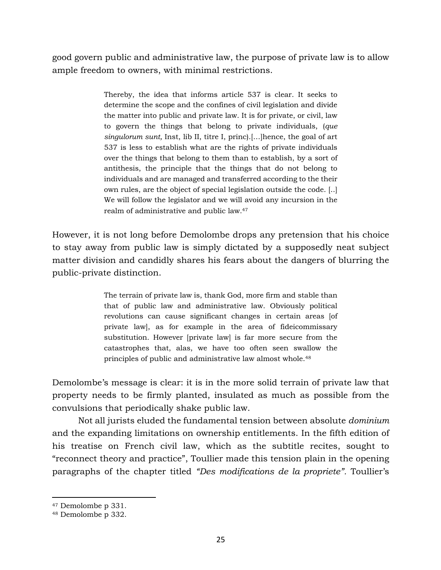good govern public and administrative law, the purpose of private law is to allow ample freedom to owners, with minimal restrictions.

> Thereby, the idea that informs article 537 is clear. It seeks to determine the scope and the confines of civil legislation and divide the matter into public and private law. It is for private, or civil, law to govern the things that belong to private individuals, (*que singulorum sunt,* Inst, lib II, titre I, princ).[…]hence, the goal of art 537 is less to establish what are the rights of private individuals over the things that belong to them than to establish, by a sort of antithesis, the principle that the things that do not belong to individuals and are managed and transferred according to the their own rules, are the object of special legislation outside the code. [..] We will follow the legislator and we will avoid any incursion in the realm of administrative and public law.47

However, it is not long before Demolombe drops any pretension that his choice to stay away from public law is simply dictated by a supposedly neat subject matter division and candidly shares his fears about the dangers of blurring the public-private distinction.

> The terrain of private law is, thank God, more firm and stable than that of public law and administrative law. Obviously political revolutions can cause significant changes in certain areas [of private law], as for example in the area of fideicommissary substitution. However [private law] is far more secure from the catastrophes that, alas, we have too often seen swallow the principles of public and administrative law almost whole.48

Demolombe's message is clear: it is in the more solid terrain of private law that property needs to be firmly planted, insulated as much as possible from the convulsions that periodically shake public law.

Not all jurists eluded the fundamental tension between absolute *dominium* and the expanding limitations on ownership entitlements. In the fifth edition of his treatise on French civil law, which as the subtitle recites, sought to "reconnect theory and practice", Toullier made this tension plain in the opening paragraphs of the chapter titled *"Des modifications de la propriete".* Toullier's

<sup>47</sup> Demolombe p 331.

<sup>48</sup> Demolombe p 332.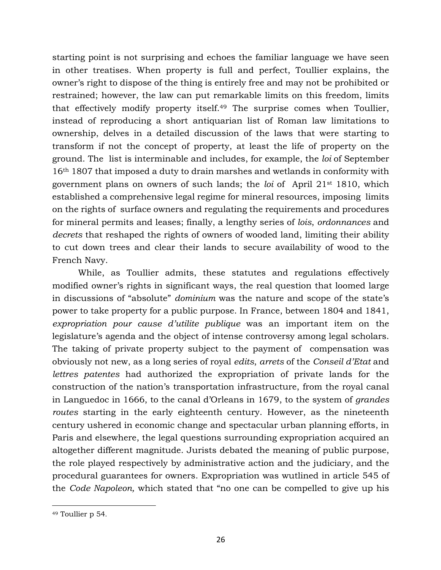starting point is not surprising and echoes the familiar language we have seen in other treatises. When property is full and perfect, Toullier explains, the owner's right to dispose of the thing is entirely free and may not be prohibited or restrained; however, the law can put remarkable limits on this freedom, limits that effectively modify property itself.49 The surprise comes when Toullier, instead of reproducing a short antiquarian list of Roman law limitations to ownership, delves in a detailed discussion of the laws that were starting to transform if not the concept of property, at least the life of property on the ground. The list is interminable and includes, for example, the *loi* of September 16th 1807 that imposed a duty to drain marshes and wetlands in conformity with government plans on owners of such lands; the *loi* of April 21st 1810, which established a comprehensive legal regime for mineral resources, imposing limits on the rights of surface owners and regulating the requirements and procedures for mineral permits and leases; finally, a lengthy series of *lois*, *ordonnances* and *decrets* that reshaped the rights of owners of wooded land, limiting their ability to cut down trees and clear their lands to secure availability of wood to the French Navy.

While, as Toullier admits, these statutes and regulations effectively modified owner's rights in significant ways, the real question that loomed large in discussions of "absolute" *dominium* was the nature and scope of the state's power to take property for a public purpose. In France, between 1804 and 1841, *expropriation pour cause d'utilite publique* was an important item on the legislature's agenda and the object of intense controversy among legal scholars. The taking of private property subject to the payment of compensation was obviously not new, as a long series of royal *edits*, *arrets* of the *Conseil d'Etat* and *lettres patentes* had authorized the expropriation of private lands for the construction of the nation's transportation infrastructure, from the royal canal in Languedoc in 1666, to the canal d'Orleans in 1679, to the system of *grandes routes* starting in the early eighteenth century. However, as the nineteenth century ushered in economic change and spectacular urban planning efforts, in Paris and elsewhere, the legal questions surrounding expropriation acquired an altogether different magnitude. Jurists debated the meaning of public purpose, the role played respectively by administrative action and the judiciary, and the procedural guarantees for owners. Expropriation was wutlined in article 545 of the *Code Napoleon,* which stated that "no one can be compelled to give up his

<sup>49</sup> Toullier p 54.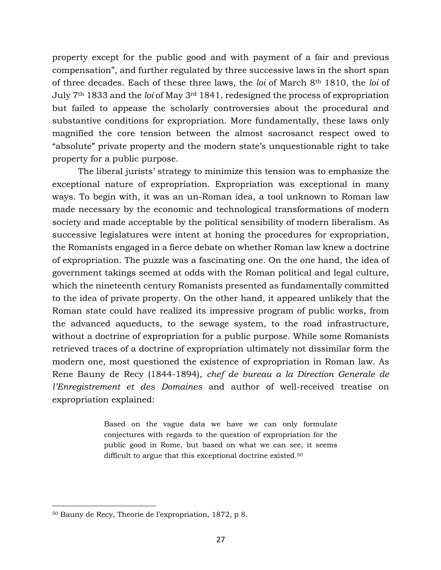property except for the public good and with payment of a fair and previous compensation", and further regulated by three successive laws in the short span of three decades. Each of these three laws, the *loi* of March 8th 1810, the *loi* of July 7th 1833 and the *loi* of May 3rd 1841, redesigned the process of expropriation but failed to appease the scholarly controversies about the procedural and substantive conditions for expropriation. More fundamentally, these laws only magnified the core tension between the almost sacrosanct respect owed to "absolute" private property and the modern state's unquestionable right to take property for a public purpose.

The liberal jurists' strategy to minimize this tension was to emphasize the exceptional nature of expropriation. Expropriation was exceptional in many ways. To begin with, it was an un-Roman idea, a tool unknown to Roman law made necessary by the economic and technological transformations of modern society and made acceptable by the political sensibility of modern liberalism. As successive legislatures were intent at honing the procedures for expropriation, the Romanists engaged in a fierce debate on whether Roman law knew a doctrine of expropriation. The puzzle was a fascinating one. On the one hand, the idea of government takings seemed at odds with the Roman political and legal culture, which the nineteenth century Romanists presented as fundamentally committed to the idea of private property. On the other hand, it appeared unlikely that the Roman state could have realized its impressive program of public works, from the advanced aqueducts, to the sewage system, to the road infrastructure, without a doctrine of expropriation for a public purpose. While some Romanists retrieved traces of a doctrine of expropriation ultimately not dissimilar form the modern one, most questioned the existence of expropriation in Roman law. As Rene Bauny de Recy (1844-1894), *chef de bureau a la Direction Generale de l'Enregistrement et des Domaines* and author of well-received treatise on expropriation explained:

> Based on the vague data we have we can only formulate conjectures with regards to the question of expropriation for the public good in Rome, but based on what we can see, it seems difficult to argue that this exceptional doctrine existed.<sup>50</sup>

<sup>50</sup> Bauny de Recy, Theorie de l'expropriation, 1872, p 8.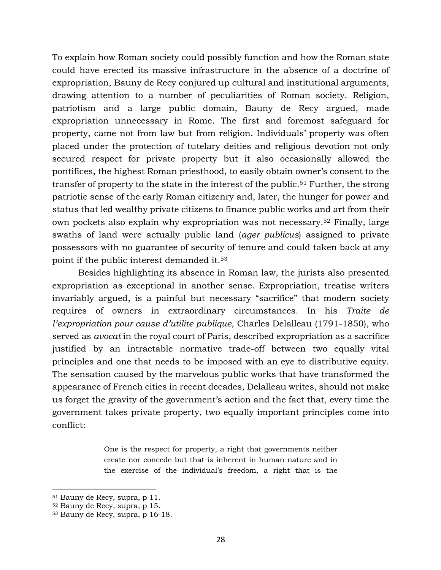To explain how Roman society could possibly function and how the Roman state could have erected its massive infrastructure in the absence of a doctrine of expropriation, Bauny de Recy conjured up cultural and institutional arguments, drawing attention to a number of peculiarities of Roman society. Religion, patriotism and a large public domain, Bauny de Recy argued, made expropriation unnecessary in Rome. The first and foremost safeguard for property, came not from law but from religion. Individuals' property was often placed under the protection of tutelary deities and religious devotion not only secured respect for private property but it also occasionally allowed the pontifices, the highest Roman priesthood, to easily obtain owner's consent to the transfer of property to the state in the interest of the public.<sup>51</sup> Further, the strong patriotic sense of the early Roman citizenry and, later, the hunger for power and status that led wealthy private citizens to finance public works and art from their own pockets also explain why expropriation was not necessary.52 Finally, large swaths of land were actually public land (*ager publicus*) assigned to private possessors with no guarantee of security of tenure and could taken back at any point if the public interest demanded it.53

Besides highlighting its absence in Roman law, the jurists also presented expropriation as exceptional in another sense. Expropriation, treatise writers invariably argued, is a painful but necessary "sacrifice" that modern society requires of owners in extraordinary circumstances. In his *Traite de l'expropriation pour cause d'utilite publique*, Charles Delalleau (1791-1850), who served as *avocat* in the royal court of Paris, described expropriation as a sacrifice justified by an intractable normative trade-off between two equally vital principles and one that needs to be imposed with an eye to distributive equity. The sensation caused by the marvelous public works that have transformed the appearance of French cities in recent decades, Delalleau writes, should not make us forget the gravity of the government's action and the fact that, every time the government takes private property, two equally important principles come into conflict:

> One is the respect for property, a right that governments neither create nor concede but that is inherent in human nature and in the exercise of the individual's freedom, a right that is the

<sup>51</sup> Bauny de Recy, supra, p 11.

<sup>52</sup> Bauny de Recy, supra, p 15.

<sup>53</sup> Bauny de Recy, supra, p 16-18.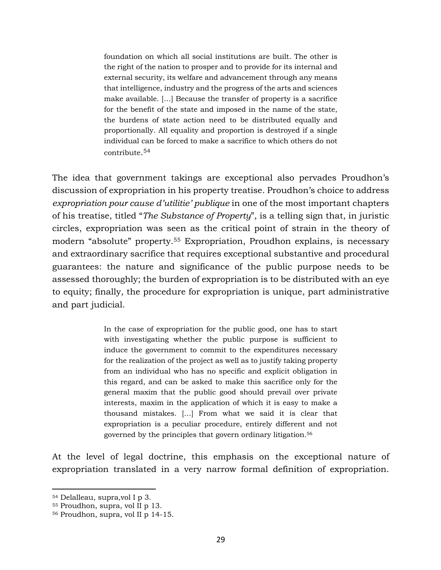foundation on which all social institutions are built. The other is the right of the nation to prosper and to provide for its internal and external security, its welfare and advancement through any means that intelligence, industry and the progress of the arts and sciences make available. […] Because the transfer of property is a sacrifice for the benefit of the state and imposed in the name of the state, the burdens of state action need to be distributed equally and proportionally. All equality and proportion is destroyed if a single individual can be forced to make a sacrifice to which others do not contribute.54

The idea that government takings are exceptional also pervades Proudhon's discussion of expropriation in his property treatise. Proudhon's choice to address *expropriation pour cause d'utilitie' publique* in one of the most important chapters of his treatise, titled "*The Substance of Property*", is a telling sign that, in juristic circles, expropriation was seen as the critical point of strain in the theory of modern "absolute" property.55 Expropriation, Proudhon explains, is necessary and extraordinary sacrifice that requires exceptional substantive and procedural guarantees: the nature and significance of the public purpose needs to be assessed thoroughly; the burden of expropriation is to be distributed with an eye to equity; finally, the procedure for expropriation is unique, part administrative and part judicial.

> In the case of expropriation for the public good, one has to start with investigating whether the public purpose is sufficient to induce the government to commit to the expenditures necessary for the realization of the project as well as to justify taking property from an individual who has no specific and explicit obligation in this regard, and can be asked to make this sacrifice only for the general maxim that the public good should prevail over private interests, maxim in the application of which it is easy to make a thousand mistakes. […] From what we said it is clear that expropriation is a peculiar procedure, entirely different and not governed by the principles that govern ordinary litigation.56

At the level of legal doctrine, this emphasis on the exceptional nature of expropriation translated in a very narrow formal definition of expropriation.

<sup>54</sup> Delalleau, supra,vol I p 3.

<sup>55</sup> Proudhon, supra, vol II p 13.

<sup>56</sup> Proudhon, supra, vol II p 14-15.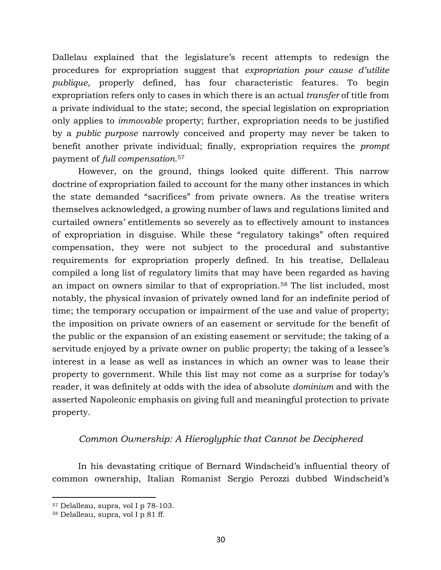Dallelau explained that the legislature's recent attempts to redesign the procedures for expropriation suggest that *expropriation pour cause d'utilite publique,* properly defined, has four characteristic features. To begin expropriation refers only to cases in which there is an actual *transfer* of title from a private individual to the state; second, the special legislation on expropriation only applies to *immovable* property; further, expropriation needs to be justified by a *public purpose* narrowly conceived and property may never be taken to benefit another private individual; finally, expropriation requires the *prompt* payment of *full compensation*.57

However, on the ground, things looked quite different. This narrow doctrine of expropriation failed to account for the many other instances in which the state demanded "sacrifices" from private owners. As the treatise writers themselves acknowledged, a growing number of laws and regulations limited and curtailed owners' entitlements so severely as to effectively amount to instances of expropriation in disguise. While these "regulatory takings" often required compensation, they were not subject to the procedural and substantive requirements for expropriation properly defined. In his treatise, Dellaleau compiled a long list of regulatory limits that may have been regarded as having an impact on owners similar to that of expropriation.58 The list included, most notably, the physical invasion of privately owned land for an indefinite period of time; the temporary occupation or impairment of the use and value of property; the imposition on private owners of an easement or servitude for the benefit of the public or the expansion of an existing easement or servitude; the taking of a servitude enjoyed by a private owner on public property; the taking of a lessee's interest in a lease as well as instances in which an owner was to lease their property to government. While this list may not come as a surprise for today's reader, it was definitely at odds with the idea of absolute *dominium* and with the asserted Napoleonic emphasis on giving full and meaningful protection to private property.

## *Common Ownership: A Hieroglyphic that Cannot be Deciphered*

In his devastating critique of Bernard Windscheid's influential theory of common ownership, Italian Romanist Sergio Perozzi dubbed Windscheid's

<sup>57</sup> Delalleau, supra, vol I p 78-103.

<sup>58</sup> Delalleau, supra, vol I p 81 ff.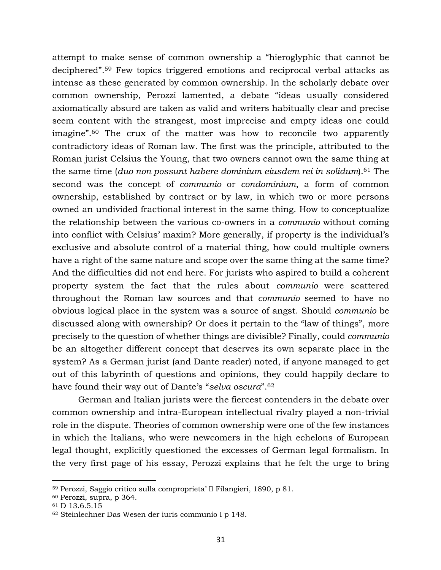attempt to make sense of common ownership a "hieroglyphic that cannot be deciphered".59 Few topics triggered emotions and reciprocal verbal attacks as intense as these generated by common ownership. In the scholarly debate over common ownership, Perozzi lamented, a debate "ideas usually considered axiomatically absurd are taken as valid and writers habitually clear and precise seem content with the strangest, most imprecise and empty ideas one could imagine".60 The crux of the matter was how to reconcile two apparently contradictory ideas of Roman law. The first was the principle, attributed to the Roman jurist Celsius the Young, that two owners cannot own the same thing at the same time (*duo non possunt habere dominium eiusdem rei in solidum*).61 The second was the concept of *communio* or *condominium*, a form of common ownership, established by contract or by law, in which two or more persons owned an undivided fractional interest in the same thing. How to conceptualize the relationship between the various co-owners in a *communio* without coming into conflict with Celsius' maxim? More generally, if property is the individual's exclusive and absolute control of a material thing, how could multiple owners have a right of the same nature and scope over the same thing at the same time? And the difficulties did not end here. For jurists who aspired to build a coherent property system the fact that the rules about *communio* were scattered throughout the Roman law sources and that *communio* seemed to have no obvious logical place in the system was a source of angst. Should *communio* be discussed along with ownership? Or does it pertain to the "law of things", more precisely to the question of whether things are divisible? Finally, could *communio* be an altogether different concept that deserves its own separate place in the system? As a German jurist (and Dante reader) noted, if anyone managed to get out of this labyrinth of questions and opinions, they could happily declare to have found their way out of Dante's "*selva oscura*".62

German and Italian jurists were the fiercest contenders in the debate over common ownership and intra-European intellectual rivalry played a non-trivial role in the dispute. Theories of common ownership were one of the few instances in which the Italians, who were newcomers in the high echelons of European legal thought, explicitly questioned the excesses of German legal formalism. In the very first page of his essay, Perozzi explains that he felt the urge to bring

<sup>59</sup> Perozzi, Saggio critico sulla comproprieta' Il Filangieri, 1890, p 81.

<sup>60</sup> Perozzi, supra, p 364.

<sup>61</sup> D 13.6.5.15

<sup>62</sup> Steinlechner Das Wesen der iuris communio I p 148.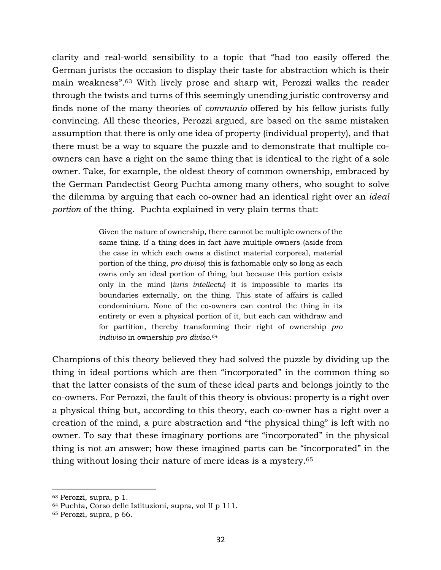clarity and real-world sensibility to a topic that "had too easily offered the German jurists the occasion to display their taste for abstraction which is their main weakness".63 With lively prose and sharp wit, Perozzi walks the reader through the twists and turns of this seemingly unending juristic controversy and finds none of the many theories of *communio* offered by his fellow jurists fully convincing. All these theories, Perozzi argued, are based on the same mistaken assumption that there is only one idea of property (individual property), and that there must be a way to square the puzzle and to demonstrate that multiple coowners can have a right on the same thing that is identical to the right of a sole owner. Take, for example, the oldest theory of common ownership, embraced by the German Pandectist Georg Puchta among many others, who sought to solve the dilemma by arguing that each co-owner had an identical right over an *ideal portion* of the thing. Puchta explained in very plain terms that:

> Given the nature of ownership, there cannot be multiple owners of the same thing. If a thing does in fact have multiple owners (aside from the case in which each owns a distinct material corporeal, material portion of the thing, *pro diviso*) this is fathomable only so long as each owns only an ideal portion of thing, but because this portion exists only in the mind (*iuris intellectu*) it is impossible to marks its boundaries externally, on the thing. This state of affairs is called condominium. None of the co-owners can control the thing in its entirety or even a physical portion of it, but each can withdraw and for partition, thereby transforming their right of ownership *pro indiviso* in ownership *pro diviso.64*

Champions of this theory believed they had solved the puzzle by dividing up the thing in ideal portions which are then "incorporated" in the common thing so that the latter consists of the sum of these ideal parts and belongs jointly to the co-owners. For Perozzi, the fault of this theory is obvious: property is a right over a physical thing but, according to this theory, each co-owner has a right over a creation of the mind, a pure abstraction and "the physical thing" is left with no owner. To say that these imaginary portions are "incorporated" in the physical thing is not an answer; how these imagined parts can be "incorporated" in the thing without losing their nature of mere ideas is a mystery.65

<sup>63</sup> Perozzi, supra, p 1.

<sup>64</sup> Puchta, Corso delle Istituzioni, supra, vol II p 111.

<sup>65</sup> Perozzi, supra, p 66.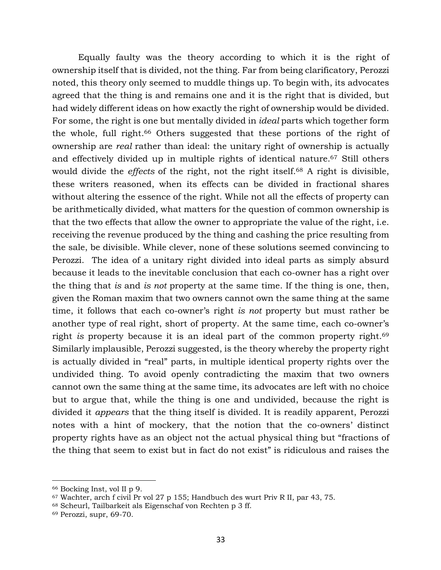Equally faulty was the theory according to which it is the right of ownership itself that is divided, not the thing. Far from being clarificatory, Perozzi noted, this theory only seemed to muddle things up. To begin with, its advocates agreed that the thing is and remains one and it is the right that is divided, but had widely different ideas on how exactly the right of ownership would be divided. For some, the right is one but mentally divided in *ideal* parts which together form the whole, full right.66 Others suggested that these portions of the right of ownership are *real* rather than ideal: the unitary right of ownership is actually and effectively divided up in multiple rights of identical nature.67 Still others would divide the *effects* of the right, not the right itself.<sup>68</sup> A right is divisible, these writers reasoned, when its effects can be divided in fractional shares without altering the essence of the right. While not all the effects of property can be arithmetically divided, what matters for the question of common ownership is that the two effects that allow the owner to appropriate the value of the right, i.e. receiving the revenue produced by the thing and cashing the price resulting from the sale, be divisible. While clever, none of these solutions seemed convincing to Perozzi. The idea of a unitary right divided into ideal parts as simply absurd because it leads to the inevitable conclusion that each co-owner has a right over the thing that *is* and *is not* property at the same time. If the thing is one, then, given the Roman maxim that two owners cannot own the same thing at the same time, it follows that each co-owner's right *is not* property but must rather be another type of real right, short of property. At the same time, each co-owner's right *is* property because it is an ideal part of the common property right.<sup>69</sup> Similarly implausible, Perozzi suggested, is the theory whereby the property right is actually divided in "real" parts, in multiple identical property rights over the undivided thing. To avoid openly contradicting the maxim that two owners cannot own the same thing at the same time, its advocates are left with no choice but to argue that, while the thing is one and undivided, because the right is divided it *appears* that the thing itself is divided. It is readily apparent, Perozzi notes with a hint of mockery, that the notion that the co-owners' distinct property rights have as an object not the actual physical thing but "fractions of the thing that seem to exist but in fact do not exist" is ridiculous and raises the

<sup>66</sup> Bocking Inst, vol II p 9.

<sup>67</sup> Wachter, arch f civil Pr vol 27 p 155; Handbuch des wurt Priv R II, par 43, 75.

<sup>68</sup> Scheurl, Tailbarkeit als Eigenschaf von Rechten p 3 ff.

<sup>69</sup> Perozzi, supr, 69-70.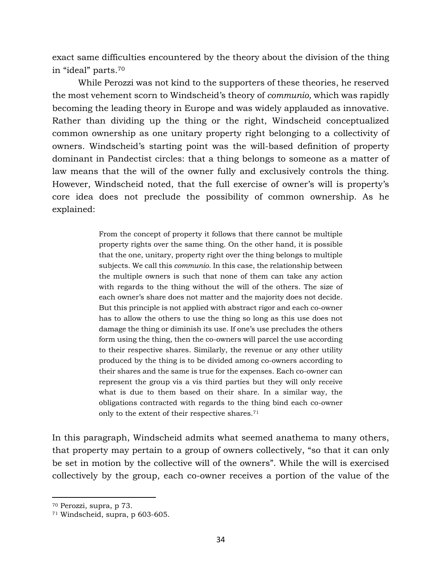exact same difficulties encountered by the theory about the division of the thing in "ideal" parts.70

While Perozzi was not kind to the supporters of these theories, he reserved the most vehement scorn to Windscheid's theory of *communio,* which was rapidly becoming the leading theory in Europe and was widely applauded as innovative. Rather than dividing up the thing or the right, Windscheid conceptualized common ownership as one unitary property right belonging to a collectivity of owners. Windscheid's starting point was the will-based definition of property dominant in Pandectist circles: that a thing belongs to someone as a matter of law means that the will of the owner fully and exclusively controls the thing. However, Windscheid noted, that the full exercise of owner's will is property's core idea does not preclude the possibility of common ownership. As he explained:

> From the concept of property it follows that there cannot be multiple property rights over the same thing. On the other hand, it is possible that the one, unitary, property right over the thing belongs to multiple subjects. We call this *communio*. In this case, the relationship between the multiple owners is such that none of them can take any action with regards to the thing without the will of the others. The size of each owner's share does not matter and the majority does not decide. But this principle is not applied with abstract rigor and each co-owner has to allow the others to use the thing so long as this use does not damage the thing or diminish its use. If one's use precludes the others form using the thing, then the co-owners will parcel the use according to their respective shares. Similarly, the revenue or any other utility produced by the thing is to be divided among co-owners according to their shares and the same is true for the expenses. Each co-owner can represent the group vis a vis third parties but they will only receive what is due to them based on their share. In a similar way, the obligations contracted with regards to the thing bind each co-owner only to the extent of their respective shares.71

In this paragraph, Windscheid admits what seemed anathema to many others, that property may pertain to a group of owners collectively, "so that it can only be set in motion by the collective will of the owners". While the will is exercised collectively by the group, each co-owner receives a portion of the value of the

<sup>70</sup> Perozzi, supra, p 73.

<sup>71</sup> Windscheid, supra, p 603-605.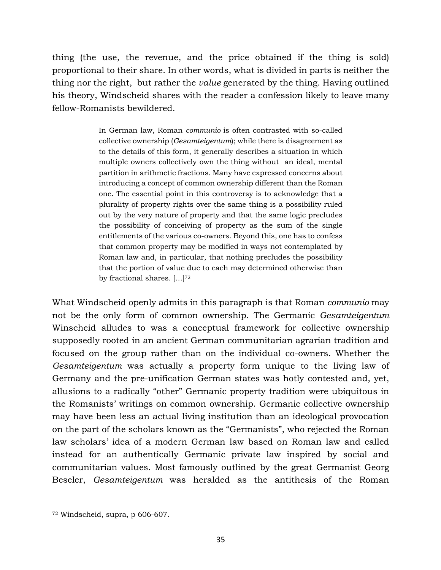thing (the use, the revenue, and the price obtained if the thing is sold) proportional to their share. In other words, what is divided in parts is neither the thing nor the right, but rather the *value* generated by the thing. Having outlined his theory, Windscheid shares with the reader a confession likely to leave many fellow-Romanists bewildered.

> In German law, Roman *communio* is often contrasted with so-called collective ownership (*Gesamteigentum*); while there is disagreement as to the details of this form, it generally describes a situation in which multiple owners collectively own the thing without an ideal, mental partition in arithmetic fractions. Many have expressed concerns about introducing a concept of common ownership different than the Roman one. The essential point in this controversy is to acknowledge that a plurality of property rights over the same thing is a possibility ruled out by the very nature of property and that the same logic precludes the possibility of conceiving of property as the sum of the single entitlements of the various co-owners. Beyond this, one has to confess that common property may be modified in ways not contemplated by Roman law and, in particular, that nothing precludes the possibility that the portion of value due to each may determined otherwise than by fractional shares. […]72

What Windscheid openly admits in this paragraph is that Roman *communio* may not be the only form of common ownership. The Germanic *Gesamteigentum* Winscheid alludes to was a conceptual framework for collective ownership supposedly rooted in an ancient German communitarian agrarian tradition and focused on the group rather than on the individual co-owners. Whether the *Gesamteigentum* was actually a property form unique to the living law of Germany and the pre-unification German states was hotly contested and, yet, allusions to a radically "other" Germanic property tradition were ubiquitous in the Romanists' writings on common ownership. Germanic collective ownership may have been less an actual living institution than an ideological provocation on the part of the scholars known as the "Germanists", who rejected the Roman law scholars' idea of a modern German law based on Roman law and called instead for an authentically Germanic private law inspired by social and communitarian values. Most famously outlined by the great Germanist Georg Beseler, *Gesamteigentum* was heralded as the antithesis of the Roman

<sup>72</sup> Windscheid, supra, p 606-607.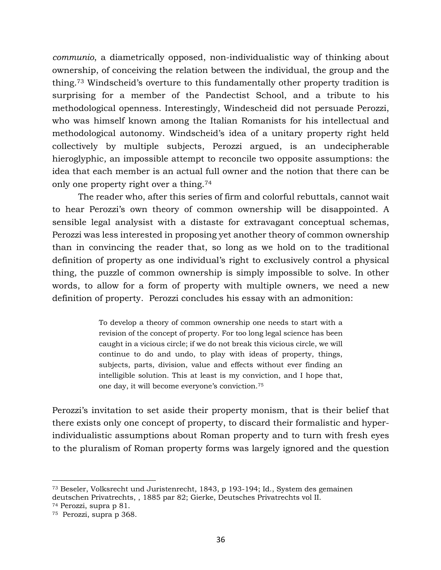*communio*, a diametrically opposed, non-individualistic way of thinking about ownership, of conceiving the relation between the individual, the group and the thing.73 Windscheid's overture to this fundamentally other property tradition is surprising for a member of the Pandectist School, and a tribute to his methodological openness. Interestingly, Windescheid did not persuade Perozzi, who was himself known among the Italian Romanists for his intellectual and methodological autonomy. Windscheid's idea of a unitary property right held collectively by multiple subjects, Perozzi argued, is an undecipherable hieroglyphic, an impossible attempt to reconcile two opposite assumptions: the idea that each member is an actual full owner and the notion that there can be only one property right over a thing.74

The reader who, after this series of firm and colorful rebuttals, cannot wait to hear Perozzi's own theory of common ownership will be disappointed. A sensible legal analysist with a distaste for extravagant conceptual schemas, Perozzi was less interested in proposing yet another theory of common ownership than in convincing the reader that, so long as we hold on to the traditional definition of property as one individual's right to exclusively control a physical thing, the puzzle of common ownership is simply impossible to solve. In other words, to allow for a form of property with multiple owners, we need a new definition of property. Perozzi concludes his essay with an admonition:

> To develop a theory of common ownership one needs to start with a revision of the concept of property. For too long legal science has been caught in a vicious circle; if we do not break this vicious circle, we will continue to do and undo, to play with ideas of property, things, subjects, parts, division, value and effects without ever finding an intelligible solution. This at least is my conviction, and I hope that, one day, it will become everyone's conviction.75

Perozzi's invitation to set aside their property monism, that is their belief that there exists only one concept of property, to discard their formalistic and hyperindividualistic assumptions about Roman property and to turn with fresh eyes to the pluralism of Roman property forms was largely ignored and the question

<sup>73</sup> Beseler, Volksrecht und Juristenrecht, 1843, p 193-194; Id., System des gemainen deutschen Privatrechts, , 1885 par 82; Gierke, Deutsches Privatrechts vol II.

<sup>74</sup> Perozzi, supra p 81.

<sup>75</sup> Perozzi, supra p 368.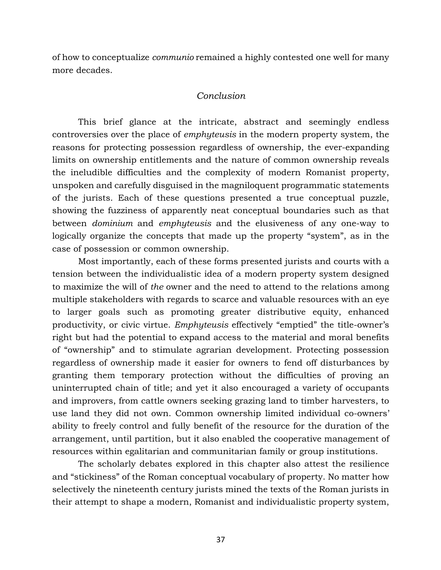of how to conceptualize *communio* remained a highly contested one well for many more decades.

#### *Conclusion*

This brief glance at the intricate, abstract and seemingly endless controversies over the place of *emphyteusis* in the modern property system, the reasons for protecting possession regardless of ownership, the ever-expanding limits on ownership entitlements and the nature of common ownership reveals the ineludible difficulties and the complexity of modern Romanist property, unspoken and carefully disguised in the magniloquent programmatic statements of the jurists. Each of these questions presented a true conceptual puzzle, showing the fuzziness of apparently neat conceptual boundaries such as that between *dominium* and *emphyteusis* and the elusiveness of any one-way to logically organize the concepts that made up the property "system", as in the case of possession or common ownership.

Most importantly, each of these forms presented jurists and courts with a tension between the individualistic idea of a modern property system designed to maximize the will of *the* owner and the need to attend to the relations among multiple stakeholders with regards to scarce and valuable resources with an eye to larger goals such as promoting greater distributive equity, enhanced productivity, or civic virtue. *Emphyteusis* effectively "emptied" the title-owner's right but had the potential to expand access to the material and moral benefits of "ownership" and to stimulate agrarian development. Protecting possession regardless of ownership made it easier for owners to fend off disturbances by granting them temporary protection without the difficulties of proving an uninterrupted chain of title; and yet it also encouraged a variety of occupants and improvers, from cattle owners seeking grazing land to timber harvesters, to use land they did not own. Common ownership limited individual co-owners' ability to freely control and fully benefit of the resource for the duration of the arrangement, until partition, but it also enabled the cooperative management of resources within egalitarian and communitarian family or group institutions.

The scholarly debates explored in this chapter also attest the resilience and "stickiness" of the Roman conceptual vocabulary of property. No matter how selectively the nineteenth century jurists mined the texts of the Roman jurists in their attempt to shape a modern, Romanist and individualistic property system,